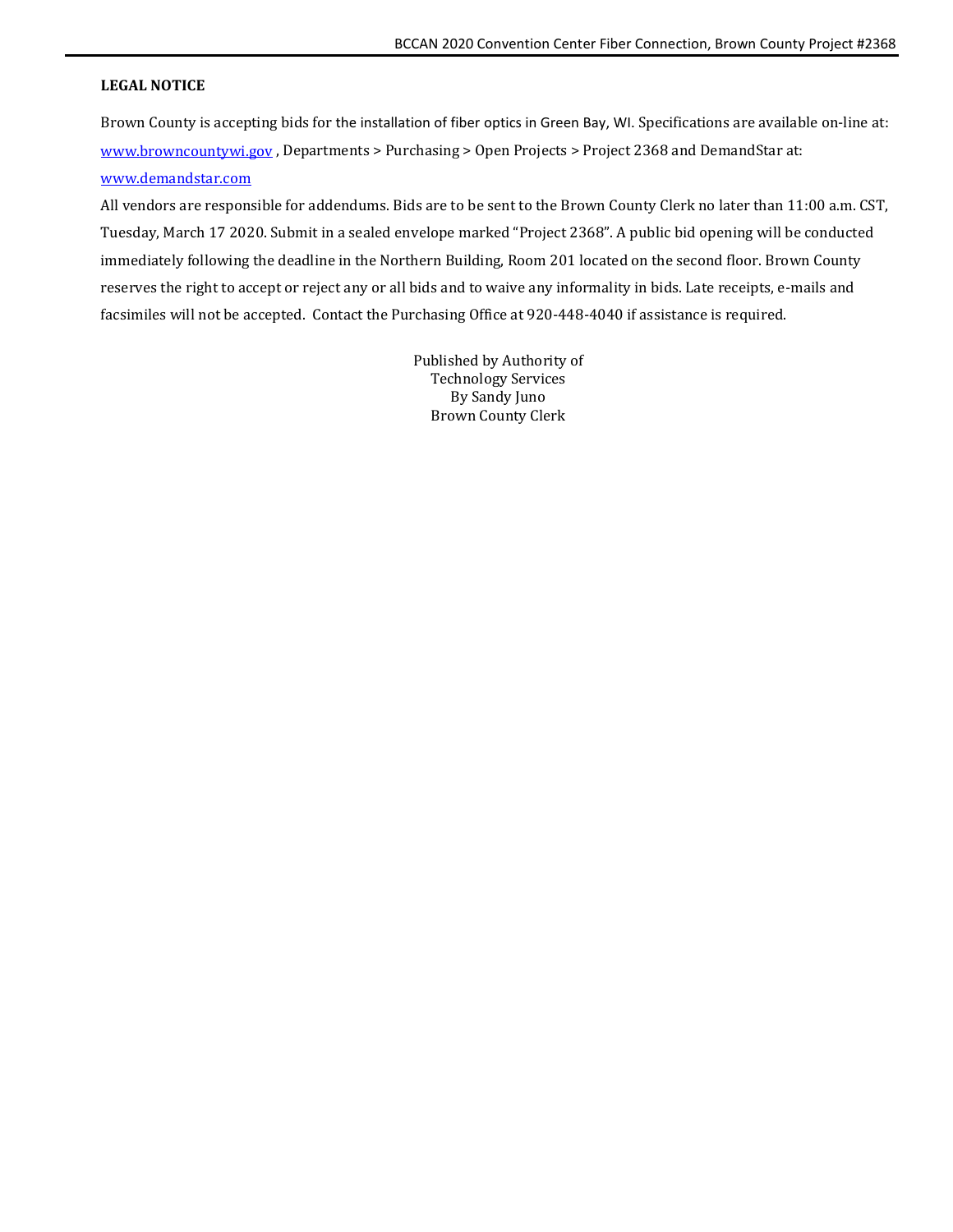### <span id="page-0-0"></span>**LEGAL NOTICE**

Brown County is accepting bids for the installation of fiber optics in Green Bay, WI. Specifications are available on-line at: [www.browncountywi.gov](http://www.browncountywi.gov/) , Departments > Purchasing > Open Projects > Project 2368 and DemandStar at: [www.demandstar.com](http://www.demandstar.com/)

All vendors are responsible for addendums. Bids are to be sent to the Brown County Clerk no later than 11:00 a.m. CST, Tuesday, March 17 2020. Submit in a sealed envelope marked "Project 2368". A public bid opening will be conducted immediately following the deadline in the Northern Building, Room 201 located on the second floor. Brown County reserves the right to accept or reject any or all bids and to waive any informality in bids. Late receipts, e-mails and facsimiles will not be accepted. Contact the Purchasing Office at 920-448-4040 if assistance is required.

> Published by Authority of Technology Services By Sandy Juno Brown County Clerk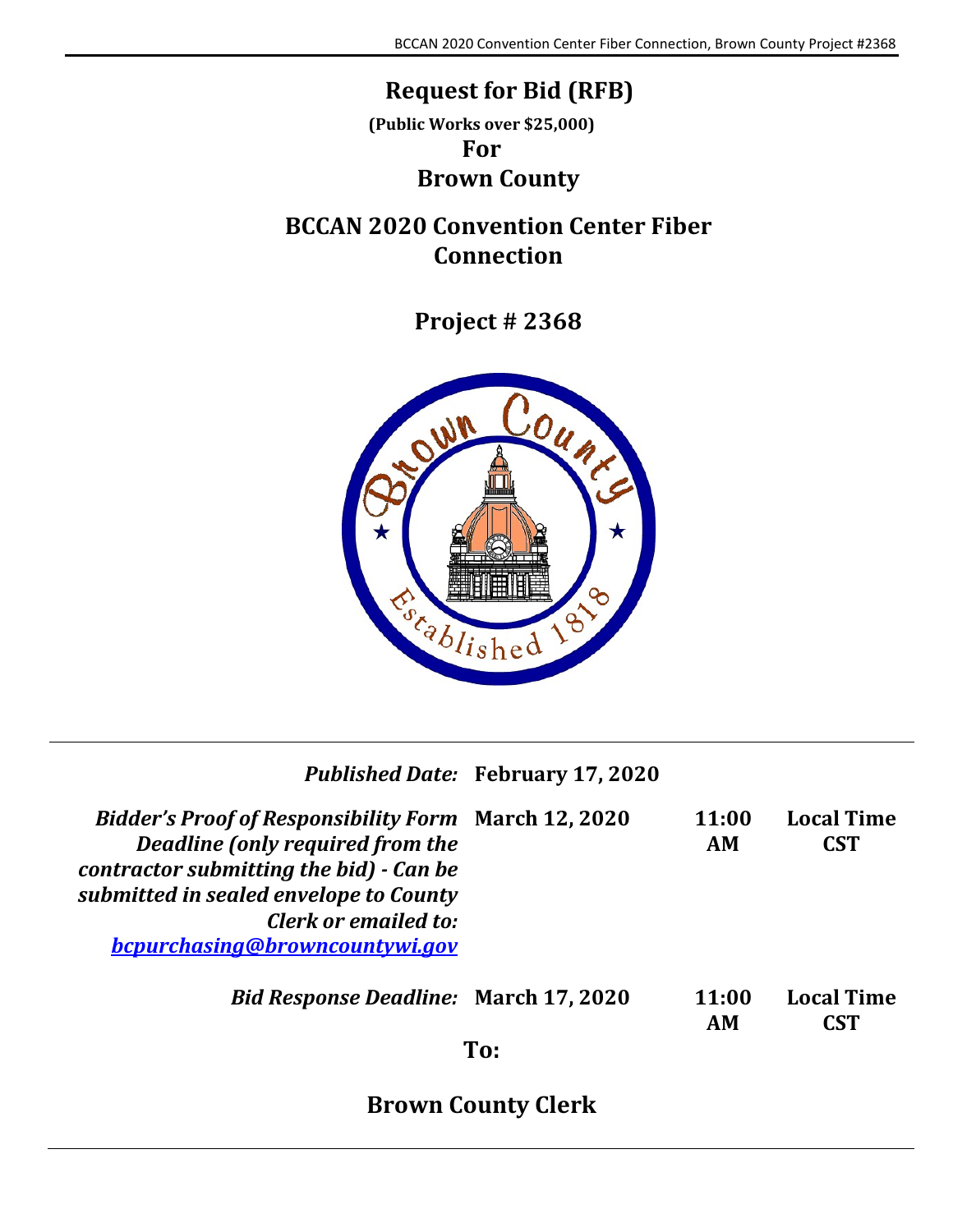## **Request for Bid (RFB)**

**(Public Works over \$25,000)**

## **For**

## **Brown County**

## <span id="page-1-1"></span><span id="page-1-0"></span>**BCCAN 2020 Convention Center Fiber Connection**

**Project # 2368**



|                                                                                                                                                                                                                                                | <b>Published Date: February 17, 2020</b> |             |                                 |
|------------------------------------------------------------------------------------------------------------------------------------------------------------------------------------------------------------------------------------------------|------------------------------------------|-------------|---------------------------------|
| <b>Bidder's Proof of Responsibility Form March 12, 2020</b><br>Deadline (only required from the<br>contractor submitting the bid) - Can be<br>submitted in sealed envelope to County<br>Clerk or emailed to:<br>bcpurchasing@browncountywi.gov |                                          | 11:00<br>AM | <b>Local Time</b><br><b>CST</b> |
| <b>Bid Response Deadline: March 17, 2020</b>                                                                                                                                                                                                   | To:                                      | 11:00<br>AM | <b>Local Time</b><br><b>CST</b> |

**Brown County Clerk**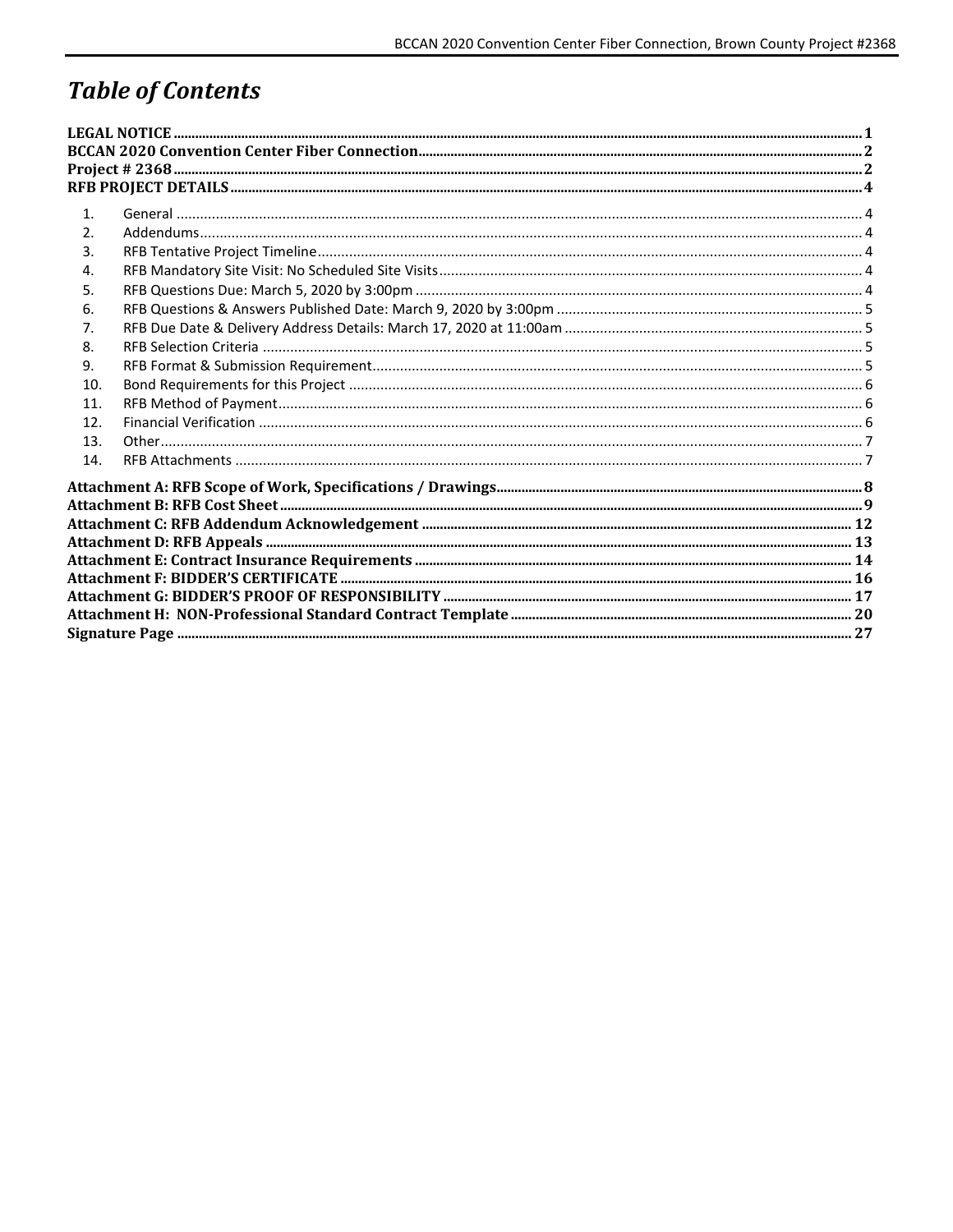# **Table of Contents**

| 1 <sub>1</sub> |  |
|----------------|--|
| 2.             |  |
| 3.             |  |
| 4.             |  |
| 5.             |  |
| 6.             |  |
| 7.             |  |
| 8.             |  |
| 9.             |  |
| 10.            |  |
| 11.            |  |
| 12.            |  |
| 13.            |  |
| 14.            |  |
|                |  |
|                |  |
|                |  |
|                |  |
|                |  |
|                |  |
|                |  |
|                |  |
|                |  |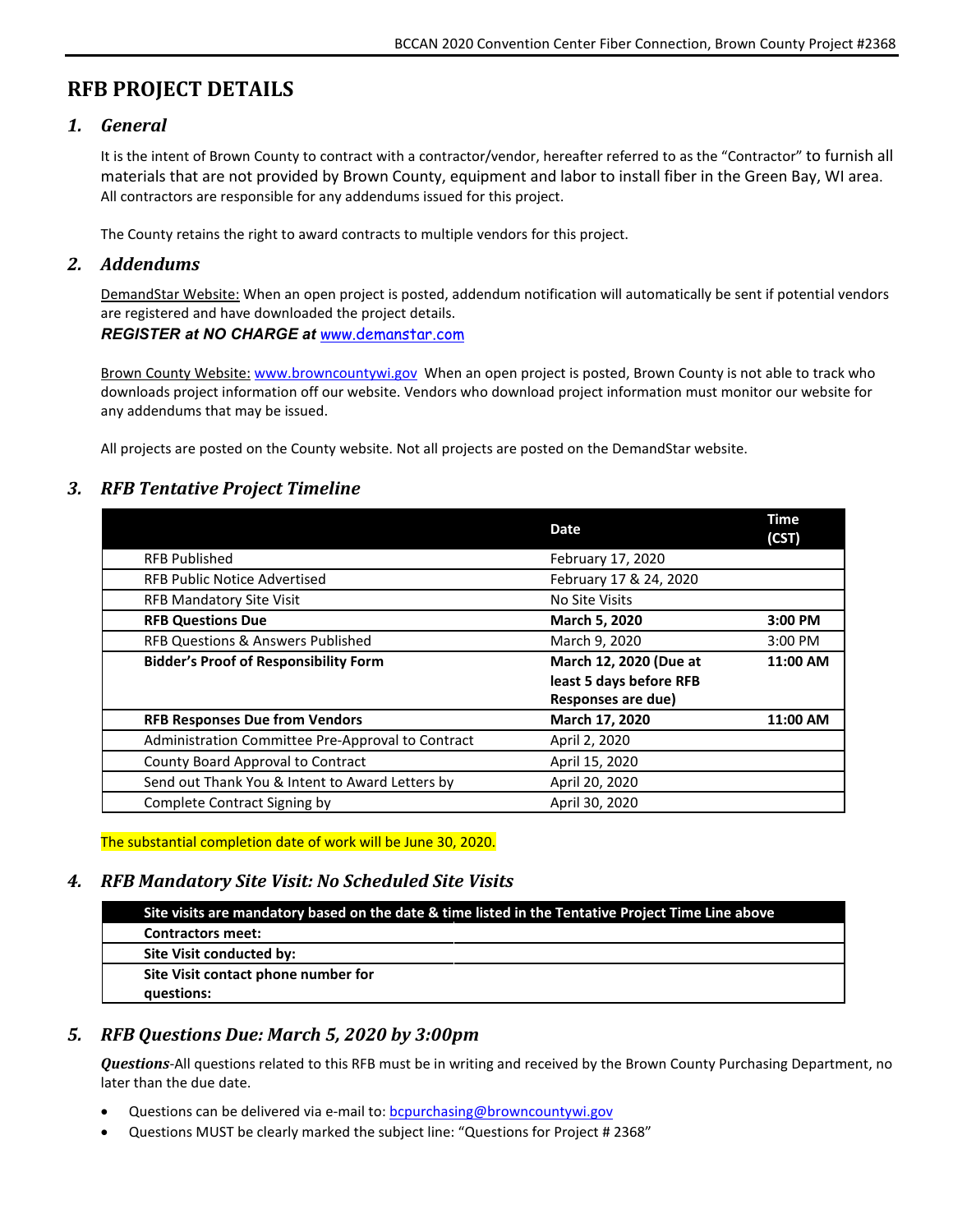## <span id="page-3-0"></span>**RFB PROJECT DETAILS**

## <span id="page-3-1"></span>*1. General*

It is the intent of Brown County to contract with a contractor/vendor, hereafter referred to as the "Contractor" to furnish all materials that are not provided by Brown County, equipment and labor to install fiber in the Green Bay, WI area. All contractors are responsible for any addendums issued for this project.

The County retains the right to award contracts to multiple vendors for this project.

## <span id="page-3-2"></span>*2. Addendums*

DemandStar Website: When an open project is posted, addendum notification will automatically be sent if potential vendors are registered and have downloaded the project details. *REGISTER at NO CHARGE at* [www.demanstar.com](http://www.demanstar.com/)

Brown County Website: [www.browncountywi.gov](http://www.browncountywi.gov/) When an open project is posted, Brown County is not able to track who downloads project information off our website. Vendors who download project information must monitor our website for any addendums that may be issued.

All projects are posted on the County website. Not all projects are posted on the DemandStar website.

## <span id="page-3-3"></span>*3. RFB Tentative Project Timeline*

|                                                   | <b>Date</b>               | <b>Time</b><br>(CST) |
|---------------------------------------------------|---------------------------|----------------------|
| <b>RFB Published</b>                              | February 17, 2020         |                      |
| <b>RFB Public Notice Advertised</b>               | February 17 & 24, 2020    |                      |
| <b>RFB Mandatory Site Visit</b>                   | No Site Visits            |                      |
| <b>RFB Questions Due</b>                          | March 5, 2020             | 3:00 PM              |
| <b>RFB Questions &amp; Answers Published</b>      | March 9, 2020             | 3:00 PM              |
| <b>Bidder's Proof of Responsibility Form</b>      | March 12, 2020 (Due at    | 11:00 AM             |
|                                                   | least 5 days before RFB   |                      |
|                                                   | <b>Responses are due)</b> |                      |
| <b>RFB Responses Due from Vendors</b>             | March 17, 2020            | 11:00 AM             |
| Administration Committee Pre-Approval to Contract | April 2, 2020             |                      |
| County Board Approval to Contract                 | April 15, 2020            |                      |
| Send out Thank You & Intent to Award Letters by   | April 20, 2020            |                      |
| Complete Contract Signing by                      | April 30, 2020            |                      |

The substantial completion date of work will be June 30, 2020.

## <span id="page-3-4"></span>*4. RFB Mandatory Site Visit: No Scheduled Site Visits*

| Site visits are mandatory based on the date & time listed in the Tentative Project Time Line above |
|----------------------------------------------------------------------------------------------------|
| <b>Contractors meet:</b>                                                                           |
| Site Visit conducted by:                                                                           |
| Site Visit contact phone number for                                                                |
| questions:                                                                                         |

## <span id="page-3-5"></span>*5. RFB Questions Due: March 5, 2020 by 3:00pm*

*Questions*-All questions related to this RFB must be in writing and received by the Brown County Purchasing Department, no later than the due date.

- Questions can be delivered via e-mail to[: bcpurchasing@browncountywi.gov](mailto:bcpurchasing@browncountywi.gov)
- Questions MUST be clearly marked the subject line: "Questions for Project # 2368"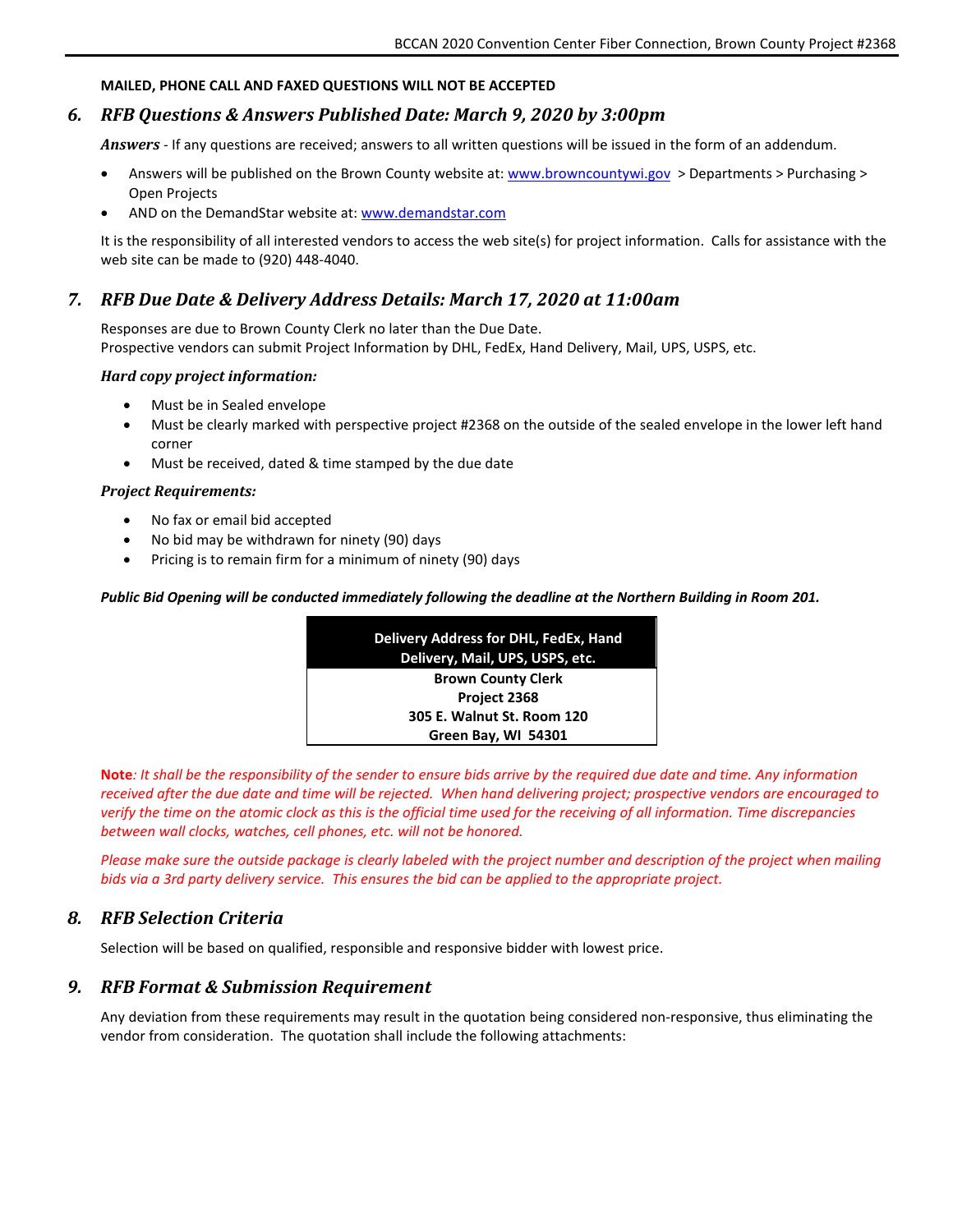#### **MAILED, PHONE CALL AND FAXED QUESTIONS WILL NOT BE ACCEPTED**

### <span id="page-4-0"></span>*6. RFB Questions & Answers Published Date: March 9, 2020 by 3:00pm*

*Answers* - If any questions are received; answers to all written questions will be issued in the form of an addendum.

- Answers will be published on the Brown County website at[: www.browncountywi.gov](http://www.browncountywi.gov/) > Departments > Purchasing > Open Projects
- AND on the DemandStar website at: [www.demandstar.com](http://www.demandstar.com/)

It is the responsibility of all interested vendors to access the web site(s) for project information. Calls for assistance with the web site can be made to (920) 448-4040.

### <span id="page-4-1"></span>*7. RFB Due Date & Delivery Address Details: March 17, 2020 at 11:00am*

Responses are due to Brown County Clerk no later than the Due Date. Prospective vendors can submit Project Information by DHL, FedEx, Hand Delivery, Mail, UPS, USPS, etc.

#### *Hard copy project information:*

- Must be in Sealed envelope
- Must be clearly marked with perspective project #2368 on the outside of the sealed envelope in the lower left hand corner
- Must be received, dated & time stamped by the due date

#### *Project Requirements:*

- No fax or email bid accepted
- No bid may be withdrawn for ninety (90) days
- Pricing is to remain firm for a minimum of ninety (90) days

#### *Public Bid Opening will be conducted immediately following the deadline at the Northern Building in Room 201.*

| <b>Delivery Address for DHL, FedEx, Hand</b><br>Delivery, Mail, UPS, USPS, etc. |  |
|---------------------------------------------------------------------------------|--|
| <b>Brown County Clerk</b>                                                       |  |
| Project 2368                                                                    |  |
| 305 E. Walnut St. Room 120                                                      |  |
| Green Bay, WI 54301                                                             |  |

**Note***: It shall be the responsibility of the sender to ensure bids arrive by the required due date and time. Any information received after the due date and time will be rejected. When hand delivering project; prospective vendors are encouraged to verify the time on the atomic clock as this is the official time used for the receiving of all information. Time discrepancies between wall clocks, watches, cell phones, etc. will not be honored.* 

*Please make sure the outside package is clearly labeled with the project number and description of the project when mailing bids via a 3rd party delivery service. This ensures the bid can be applied to the appropriate project.* 

#### <span id="page-4-2"></span>*8. RFB Selection Criteria*

Selection will be based on qualified, responsible and responsive bidder with lowest price.

### <span id="page-4-3"></span>*9. RFB Format & Submission Requirement*

Any deviation from these requirements may result in the quotation being considered non-responsive, thus eliminating the vendor from consideration. The quotation shall include the following attachments: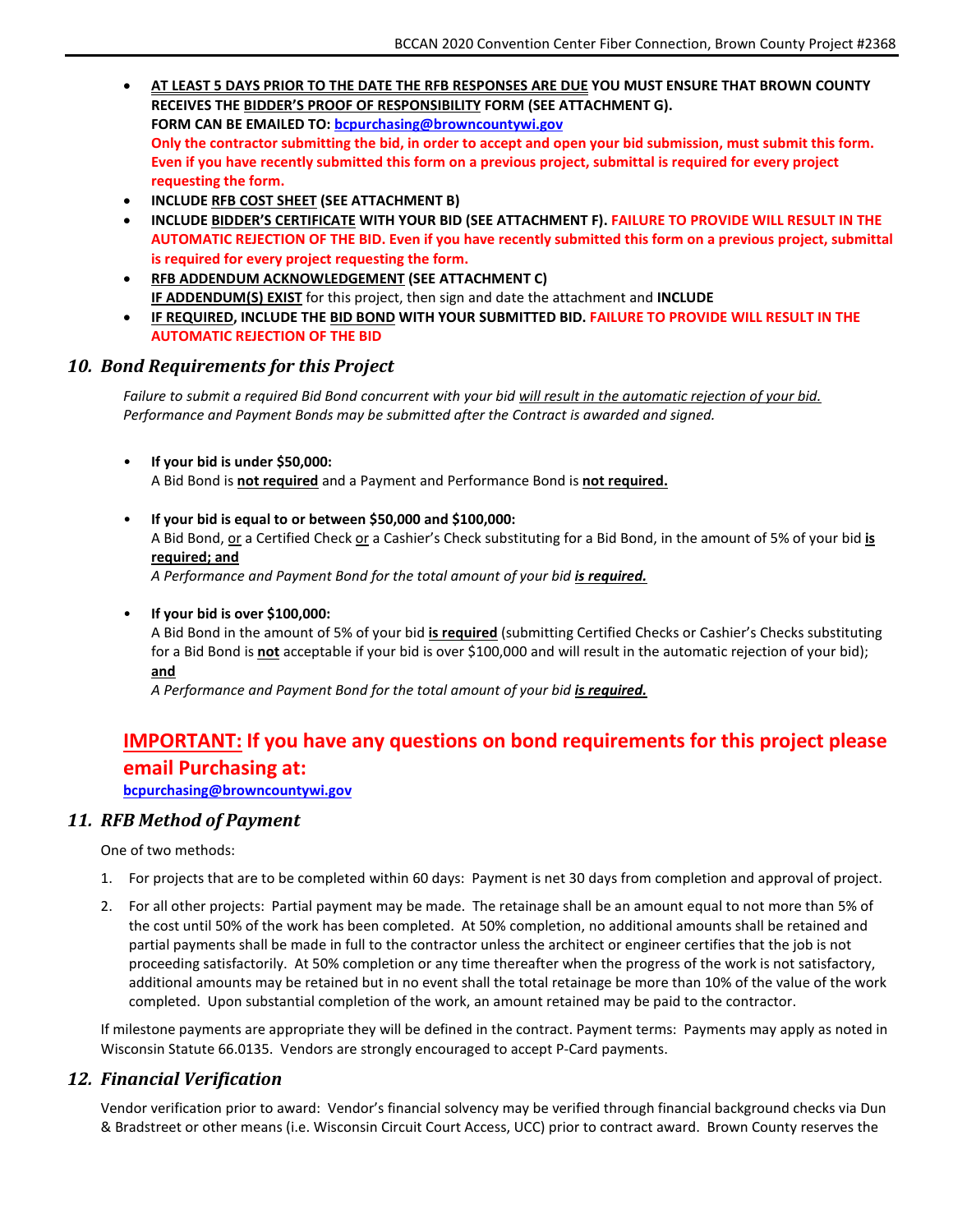- **AT LEAST 5 DAYS PRIOR TO THE DATE THE RFB RESPONSES ARE DUE YOU MUST ENSURE THAT BROWN COUNTY RECEIVES THE BIDDER'S PROOF OF RESPONSIBILITY FORM (SEE ATTACHMENT G). FORM CAN BE EMAILED TO: [bcpurchasing@browncountywi.gov](mailto:bcpurchasing@browncountywi.gov) Only the contractor submitting the bid, in order to accept and open your bid submission, must submit this form. Even if you have recently submitted this form on a previous project, submittal is required for every project requesting the form.**
- **INCLUDE RFB COST SHEET (SEE ATTACHMENT B)**
- **INCLUDE BIDDER'S CERTIFICATE WITH YOUR BID (SEE ATTACHMENT F). FAILURE TO PROVIDE WILL RESULT IN THE AUTOMATIC REJECTION OF THE BID. Even if you have recently submitted this form on a previous project, submittal is required for every project requesting the form.**
- **RFB ADDENDUM ACKNOWLEDGEMENT (SEE ATTACHMENT C) IF ADDENDUM(S) EXIST** for this project, then sign and date the attachment and **INCLUDE**
- **IF REQUIRED, INCLUDE THE BID BOND WITH YOUR SUBMITTED BID. FAILURE TO PROVIDE WILL RESULT IN THE AUTOMATIC REJECTION OF THE BID**

#### <span id="page-5-0"></span>*10. Bond Requirements for this Project*

*Failure to submit a required Bid Bond concurrent with your bid will result in the automatic rejection of your bid. Performance and Payment Bonds may be submitted after the Contract is awarded and signed.*

• **If your bid is under \$50,000:**

A Bid Bond is **not required** and a Payment and Performance Bond is **not required.**

• **If your bid is equal to or between \$50,000 and \$100,000:**

A Bid Bond, or a Certified Check or a Cashier's Check substituting for a Bid Bond, in the amount of 5% of your bid **is required; and**

*A Performance and Payment Bond for the total amount of your bid is required.*

• **If your bid is over \$100,000:**

A Bid Bond in the amount of 5% of your bid **is required** (submitting Certified Checks or Cashier's Checks substituting for a Bid Bond is **not** acceptable if your bid is over \$100,000 and will result in the automatic rejection of your bid); **and**

*A Performance and Payment Bond for the total amount of your bid is required.*

## **IMPORTANT: If you have any questions on bond requirements for this project please email Purchasing at:**

**[bcpurchasing@browncountywi.gov](mailto:bcpurchasing@browncountywi.gov)**

#### <span id="page-5-1"></span>*11. RFB Method of Payment*

One of two methods:

- 1. For projects that are to be completed within 60 days: Payment is net 30 days from completion and approval of project.
- 2. For all other projects: Partial payment may be made. The retainage shall be an amount equal to not more than 5% of the cost until 50% of the work has been completed. At 50% completion, no additional amounts shall be retained and partial payments shall be made in full to the contractor unless the architect or engineer certifies that the job is not proceeding satisfactorily. At 50% completion or any time thereafter when the progress of the work is not satisfactory, additional amounts may be retained but in no event shall the total retainage be more than 10% of the value of the work completed. Upon substantial completion of the work, an amount retained may be paid to the contractor.

If milestone payments are appropriate they will be defined in the contract. Payment terms: Payments may apply as noted in Wisconsin Statute 66.0135. Vendors are strongly encouraged to accept P-Card payments.

### <span id="page-5-2"></span>*12. Financial Verification*

Vendor verification prior to award: Vendor's financial solvency may be verified through financial background checks via Dun & Bradstreet or other means (i.e. Wisconsin Circuit Court Access, UCC) prior to contract award. Brown County reserves the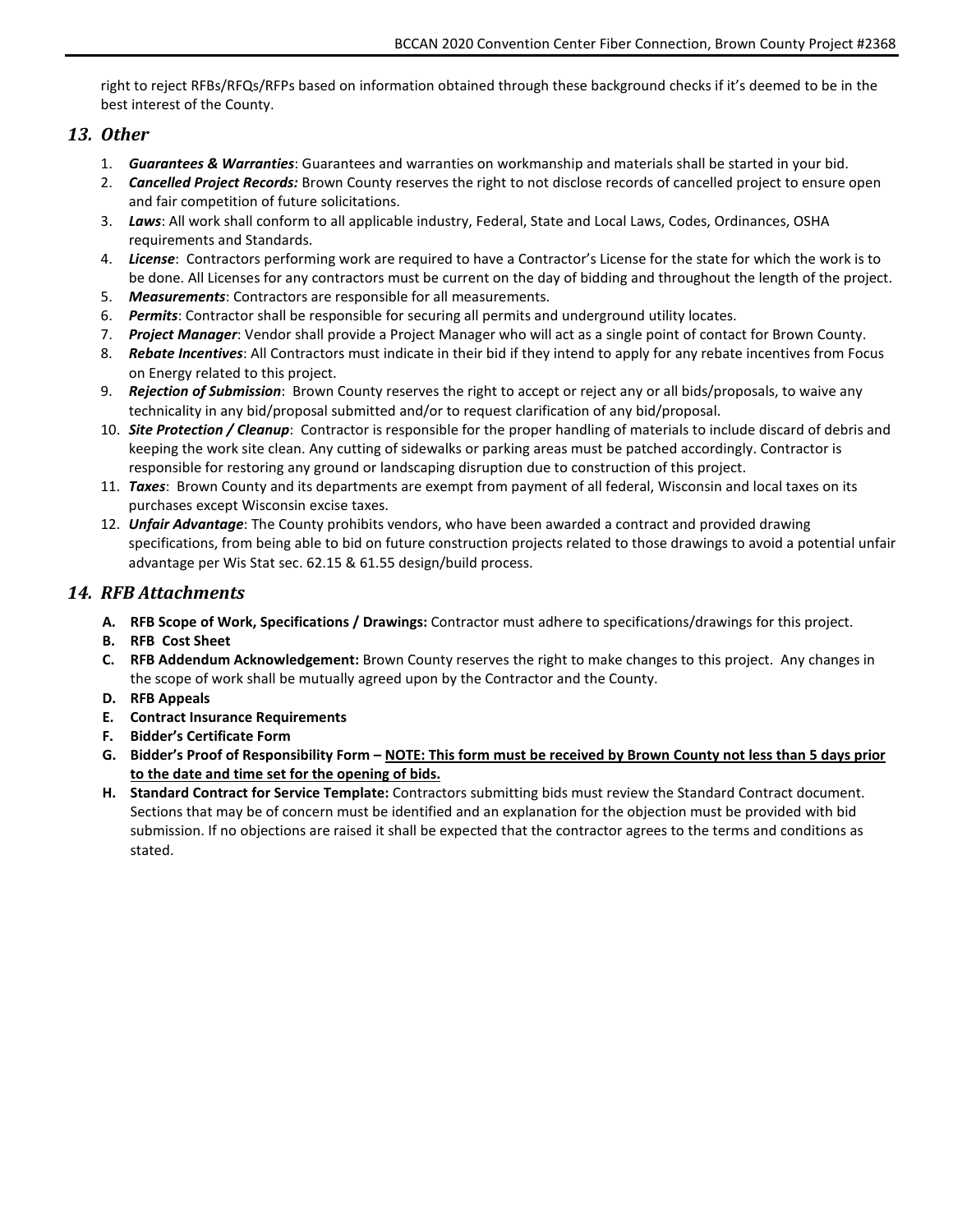right to reject RFBs/RFQs/RFPs based on information obtained through these background checks if it's deemed to be in the best interest of the County.

## <span id="page-6-0"></span>*13. Other*

- 1. *Guarantees & Warranties*: Guarantees and warranties on workmanship and materials shall be started in your bid.
- 2. *Cancelled Project Records:* Brown County reserves the right to not disclose records of cancelled project to ensure open and fair competition of future solicitations.
- 3. *Laws*: All work shall conform to all applicable industry, Federal, State and Local Laws, Codes, Ordinances, OSHA requirements and Standards.
- 4. *License*: Contractors performing work are required to have a Contractor's License for the state for which the work is to be done. All Licenses for any contractors must be current on the day of bidding and throughout the length of the project.
- 5. *Measurements*: Contractors are responsible for all measurements.
- 6. *Permits*: Contractor shall be responsible for securing all permits and underground utility locates.
- 7. *Project Manager*: Vendor shall provide a Project Manager who will act as a single point of contact for Brown County.
- 8. *Rebate Incentives*: All Contractors must indicate in their bid if they intend to apply for any rebate incentives from Focus on Energy related to this project.
- 9. *Rejection of Submission*: Brown County reserves the right to accept or reject any or all bids/proposals, to waive any technicality in any bid/proposal submitted and/or to request clarification of any bid/proposal.
- 10. *Site Protection / Cleanup*: Contractor is responsible for the proper handling of materials to include discard of debris and keeping the work site clean. Any cutting of sidewalks or parking areas must be patched accordingly. Contractor is responsible for restoring any ground or landscaping disruption due to construction of this project.
- 11. *Taxes*: Brown County and its departments are exempt from payment of all federal, Wisconsin and local taxes on its purchases except Wisconsin excise taxes.
- 12. *Unfair Advantage*: The County prohibits vendors, who have been awarded a contract and provided drawing specifications, from being able to bid on future construction projects related to those drawings to avoid a potential unfair advantage per Wis Stat sec. 62.15 & 61.55 design/build process.

## <span id="page-6-1"></span>*14. RFB Attachments*

- **A. RFB Scope of Work, Specifications / Drawings:** Contractor must adhere to specifications/drawings for this project.
- **B. RFB Cost Sheet**
- **C. RFB Addendum Acknowledgement:** Brown County reserves the right to make changes to this project. Any changes in the scope of work shall be mutually agreed upon by the Contractor and the County.
- **D. RFB Appeals**
- **E. Contract Insurance Requirements**
- **F. Bidder's Certificate Form**
- **G. Bidder's Proof of Responsibility Form – NOTE: This form must be received by Brown County not less than 5 days prior to the date and time set for the opening of bids.**
- **H. Standard Contract for Service Template:** Contractors submitting bids must review the Standard Contract document. Sections that may be of concern must be identified and an explanation for the objection must be provided with bid submission. If no objections are raised it shall be expected that the contractor agrees to the terms and conditions as stated.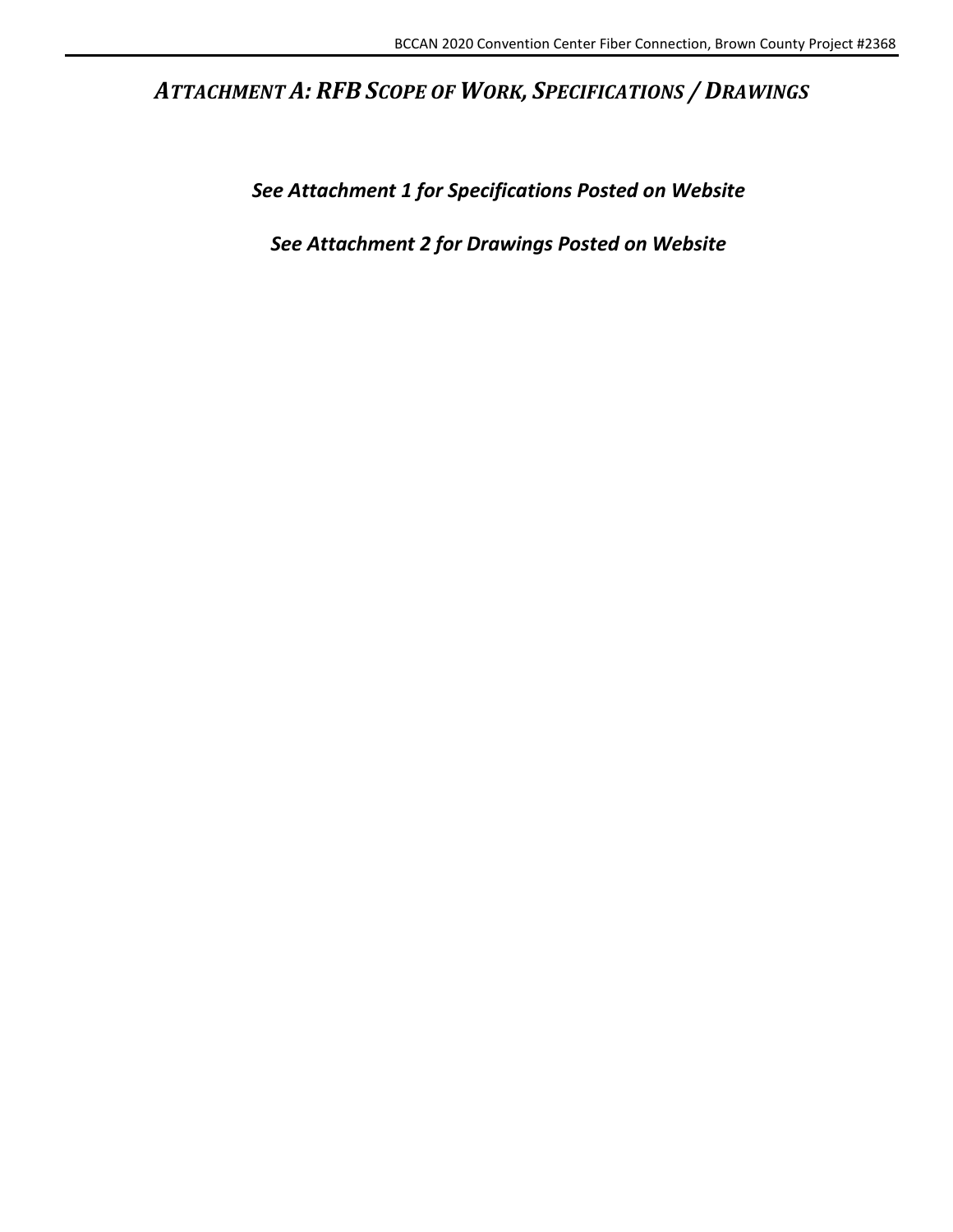## <span id="page-7-0"></span>*ATTACHMENT A: RFB SCOPE OF WORK, SPECIFICATIONS / DRAWINGS*

*See Attachment 1 for Specifications Posted on Website*

*See Attachment 2 for Drawings Posted on Website*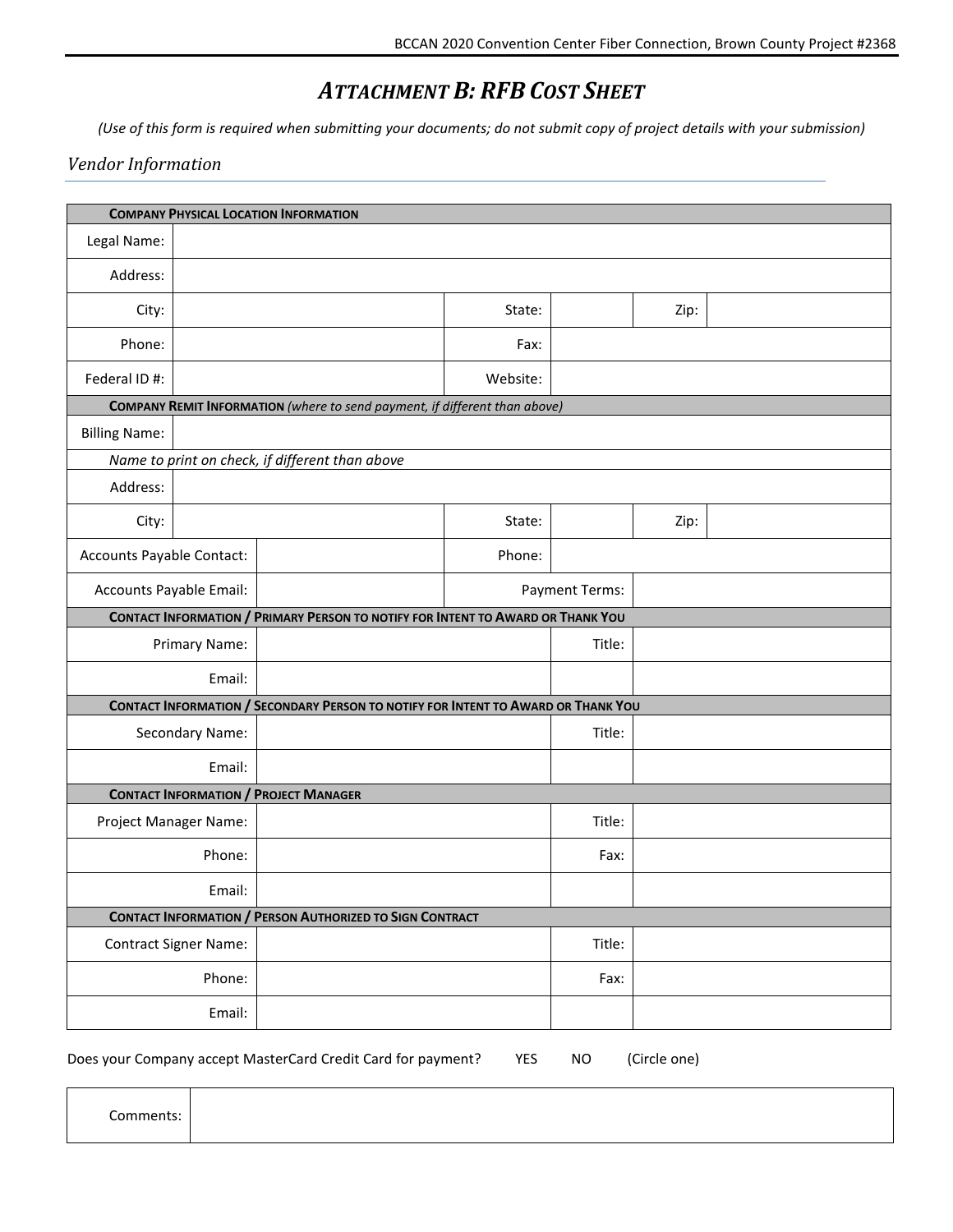## *ATTACHMENT B: RFB COST SHEET*

<span id="page-8-0"></span>*(Use of this form is required when submitting your documents; do not submit copy of project details with your submission)*

## *Vendor Information*

|                           |                              | <b>COMPANY PHYSICAL LOCATION INFORMATION</b>                                      |          |                       |      |  |
|---------------------------|------------------------------|-----------------------------------------------------------------------------------|----------|-----------------------|------|--|
| Legal Name:               |                              |                                                                                   |          |                       |      |  |
| Address:                  |                              |                                                                                   |          |                       |      |  |
| City:                     |                              |                                                                                   | State:   |                       | Zip: |  |
| Phone:                    |                              |                                                                                   | Fax:     |                       |      |  |
| Federal ID #:             |                              |                                                                                   | Website: |                       |      |  |
|                           |                              | COMPANY REMIT INFORMATION (where to send payment, if different than above)        |          |                       |      |  |
| <b>Billing Name:</b>      |                              |                                                                                   |          |                       |      |  |
|                           |                              | Name to print on check, if different than above                                   |          |                       |      |  |
| Address:                  |                              |                                                                                   |          |                       |      |  |
| City:                     |                              |                                                                                   | State:   |                       | Zip: |  |
| Accounts Payable Contact: |                              |                                                                                   | Phone:   |                       |      |  |
| Accounts Payable Email:   |                              |                                                                                   |          | <b>Payment Terms:</b> |      |  |
|                           |                              | CONTACT INFORMATION / PRIMARY PERSON TO NOTIFY FOR INTENT TO AWARD OR THANK YOU   |          |                       |      |  |
|                           | Primary Name:                |                                                                                   |          | Title:                |      |  |
|                           | Email:                       |                                                                                   |          |                       |      |  |
|                           |                              | CONTACT INFORMATION / SECONDARY PERSON TO NOTIFY FOR INTENT TO AWARD OR THANK YOU |          |                       |      |  |
|                           | Secondary Name:              |                                                                                   |          | Title:                |      |  |
|                           | Email:                       |                                                                                   |          |                       |      |  |
|                           |                              | <b>CONTACT INFORMATION / PROJECT MANAGER</b>                                      |          |                       |      |  |
| Project Manager Name:     |                              |                                                                                   |          | Title:                |      |  |
|                           | Phone:                       |                                                                                   |          | Fax:                  |      |  |
|                           | Email:                       |                                                                                   |          |                       |      |  |
|                           |                              | <b>CONTACT INFORMATION / PERSON AUTHORIZED TO SIGN CONTRACT</b>                   |          |                       |      |  |
|                           | <b>Contract Signer Name:</b> |                                                                                   |          | Title:                |      |  |
|                           | Phone:                       |                                                                                   |          | Fax:                  |      |  |
|                           | Email:                       |                                                                                   |          |                       |      |  |

Does your Company accept MasterCard Credit Card for payment? YES NO (Circle one)

Comments: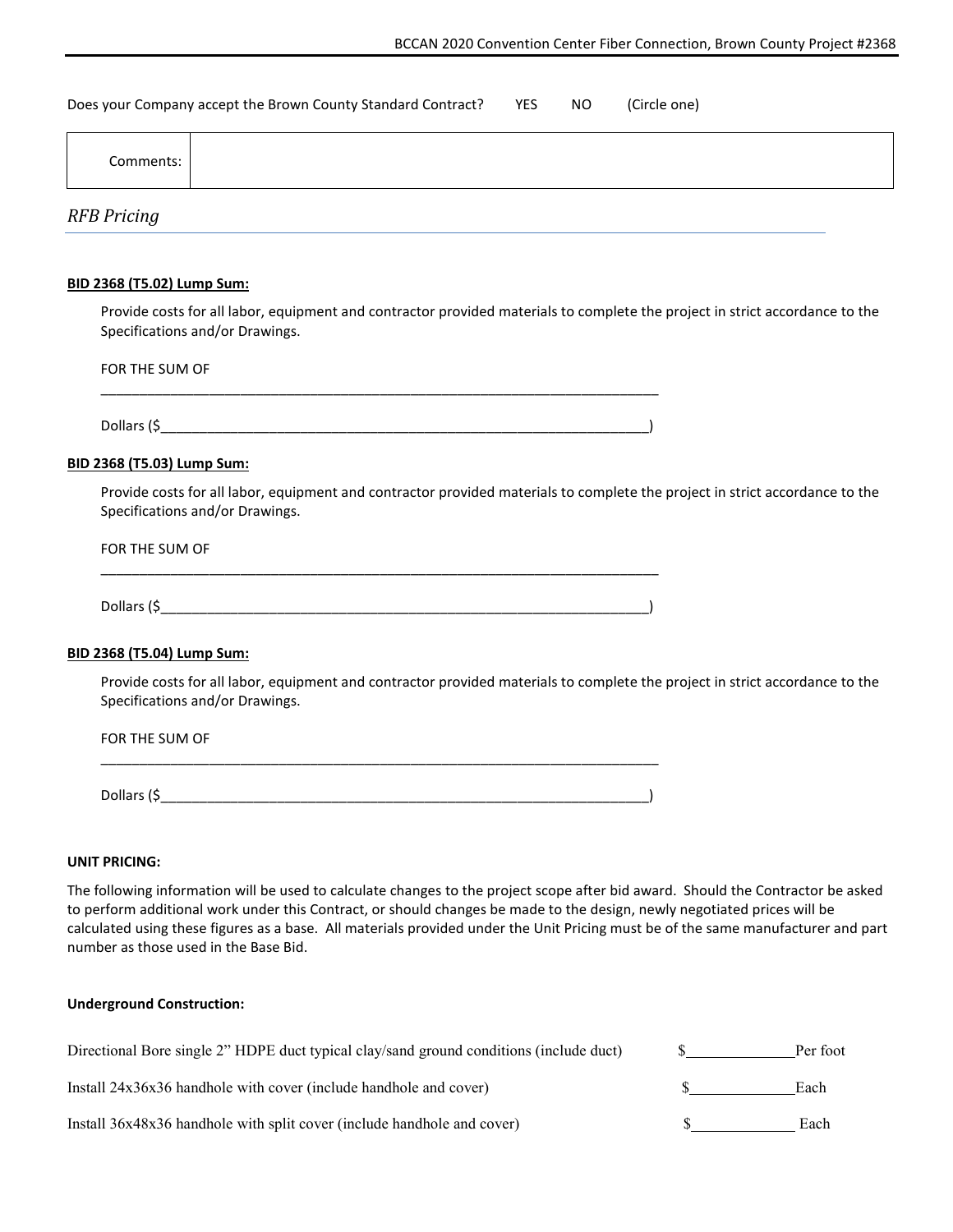Does your Company accept the Brown County Standard Contract? YES NO (Circle one)

| Comments: |  |  |
|-----------|--|--|
|-----------|--|--|

*RFB Pricing*

#### **BID 2368 (T5.02) Lump Sum:**

Provide costs for all labor, equipment and contractor provided materials to complete the project in strict accordance to the Specifications and/or Drawings.

| FOR THE SUM OF |  |  |
|----------------|--|--|
|                |  |  |
| Dollars (\$_   |  |  |

#### **BID 2368 (T5.03) Lump Sum:**

Provide costs for all labor, equipment and contractor provided materials to complete the project in strict accordance to the Specifications and/or Drawings.

#### FOR THE SUM OF

| Dollars (\$ |  |  |  |
|-------------|--|--|--|

#### **BID 2368 (T5.04) Lump Sum:**

Provide costs for all labor, equipment and contractor provided materials to complete the project in strict accordance to the Specifications and/or Drawings.

| FOR THE SUM OF |  |
|----------------|--|
| Dollars (\$_   |  |

#### **UNIT PRICING:**

The following information will be used to calculate changes to the project scope after bid award. Should the Contractor be asked to perform additional work under this Contract, or should changes be made to the design, newly negotiated prices will be calculated using these figures as a base. All materials provided under the Unit Pricing must be of the same manufacturer and part number as those used in the Base Bid.

#### **Underground Construction:**

| Directional Bore single 2" HDPE duct typical clay/sand ground conditions (include duct) | Per foot |
|-----------------------------------------------------------------------------------------|----------|
| Install 24x36x36 handhole with cover (include handhole and cover)                       | Each     |
| Install 36x48x36 handhole with split cover (include handhole and cover)                 | Each     |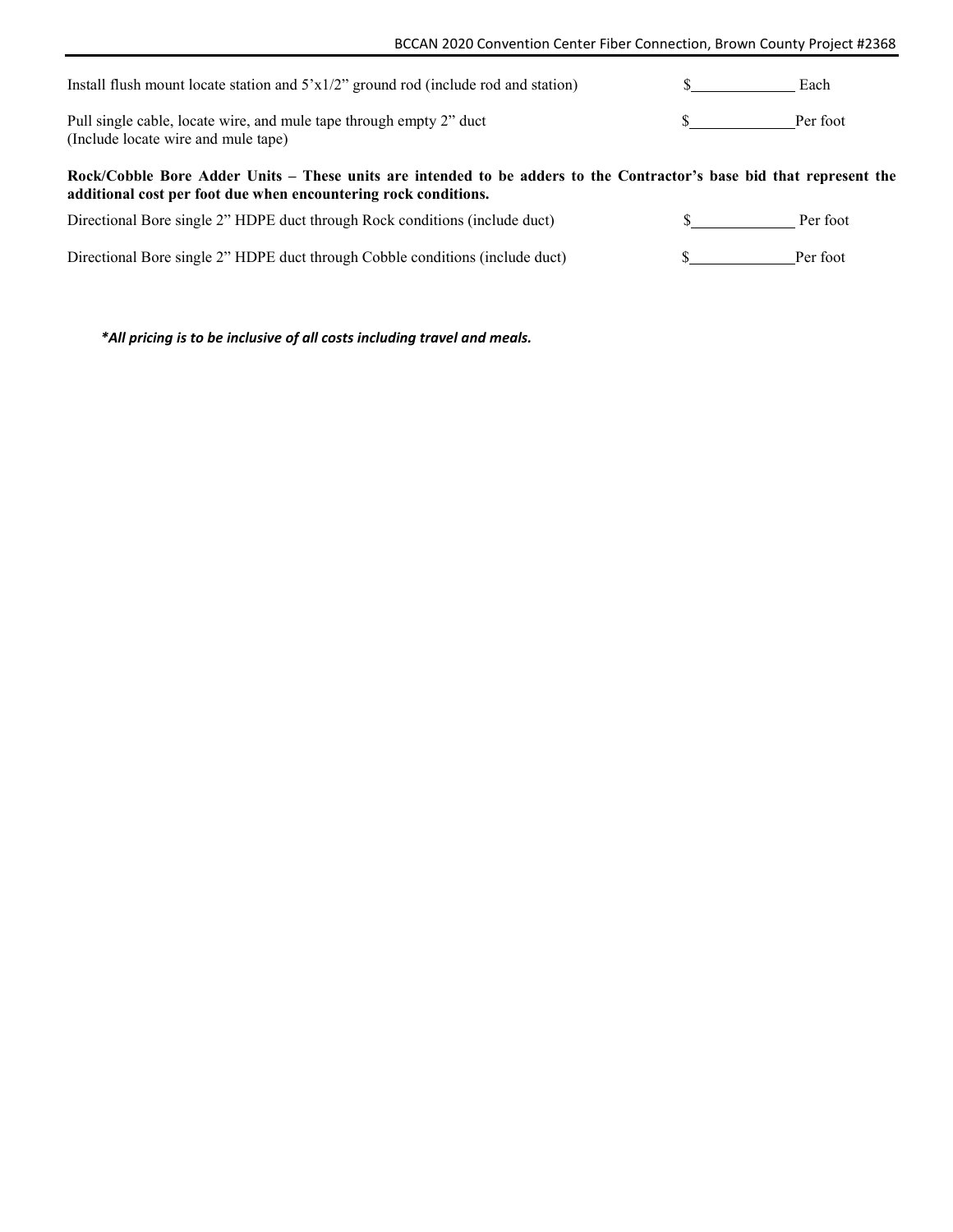| Install flush mount locate station and $5'x1/2''$ ground rod (include rod and station)                                                                                                  | Each     |
|-----------------------------------------------------------------------------------------------------------------------------------------------------------------------------------------|----------|
| Pull single cable, locate wire, and mule tape through empty 2" duct<br>(Include locate wire and mule tape)                                                                              | Per foot |
|                                                                                                                                                                                         |          |
| Rock/Cobble Bore Adder Units – These units are intended to be adders to the Contractor's base bid that represent the<br>additional cost per foot due when encountering rock conditions. |          |
| Directional Bore single 2" HDPE duct through Rock conditions (include duct)                                                                                                             | Per foot |

*\*All pricing is to be inclusive of all costs including travel and meals.*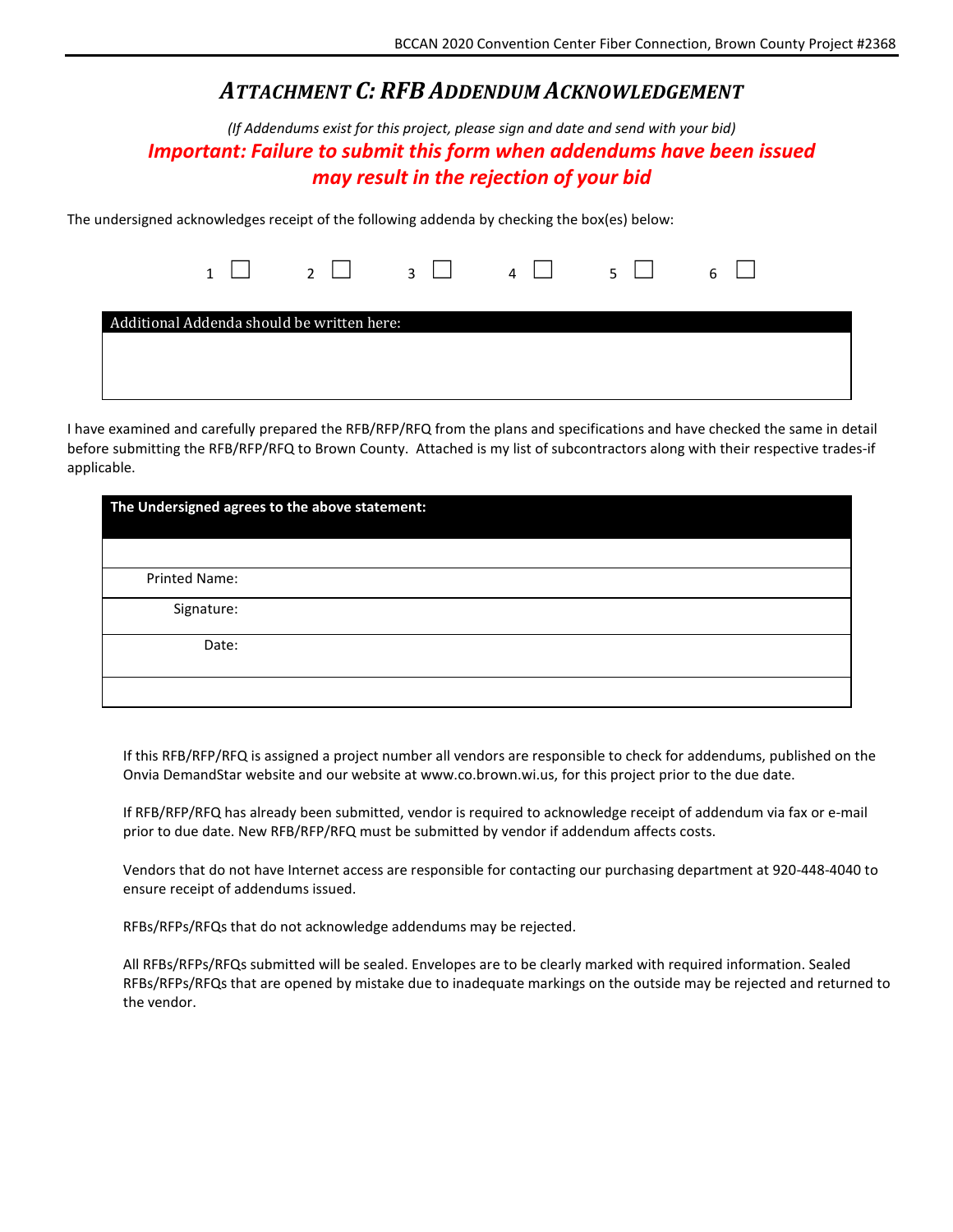## *ATTACHMENT C: RFB ADDENDUM ACKNOWLEDGEMENT*

<span id="page-11-0"></span>*(If Addendums exist for this project, please sign and date and send with your bid) Important: Failure to submit this form when addendums have been issued may result in the rejection of your bid*

The undersigned acknowledges receipt of the following addenda by checking the box(es) below:

|  |                                            |  | $1 \square$ $2 \square$ $3 \square$ $4 \square$ $5 \square$ $6 \square$ |  |
|--|--------------------------------------------|--|-------------------------------------------------------------------------|--|
|  | Additional Addenda should be written here: |  |                                                                         |  |
|  |                                            |  |                                                                         |  |
|  |                                            |  |                                                                         |  |
|  |                                            |  |                                                                         |  |
|  |                                            |  |                                                                         |  |

I have examined and carefully prepared the RFB/RFP/RFQ from the plans and specifications and have checked the same in detail before submitting the RFB/RFP/RFQ to Brown County. Attached is my list of subcontractors along with their respective trades-if applicable.

|               | The Undersigned agrees to the above statement: |
|---------------|------------------------------------------------|
|               |                                                |
| Printed Name: |                                                |
| Signature:    |                                                |
| Date:         |                                                |
|               |                                                |

If this RFB/RFP/RFQ is assigned a project number all vendors are responsible to check for addendums, published on the Onvia DemandStar website and our website at www.co.brown.wi.us, for this project prior to the due date.

If RFB/RFP/RFQ has already been submitted, vendor is required to acknowledge receipt of addendum via fax or e-mail prior to due date. New RFB/RFP/RFQ must be submitted by vendor if addendum affects costs.

Vendors that do not have Internet access are responsible for contacting our purchasing department at 920-448-4040 to ensure receipt of addendums issued.

RFBs/RFPs/RFQs that do not acknowledge addendums may be rejected.

All RFBs/RFPs/RFQs submitted will be sealed. Envelopes are to be clearly marked with required information. Sealed RFBs/RFPs/RFQs that are opened by mistake due to inadequate markings on the outside may be rejected and returned to the vendor.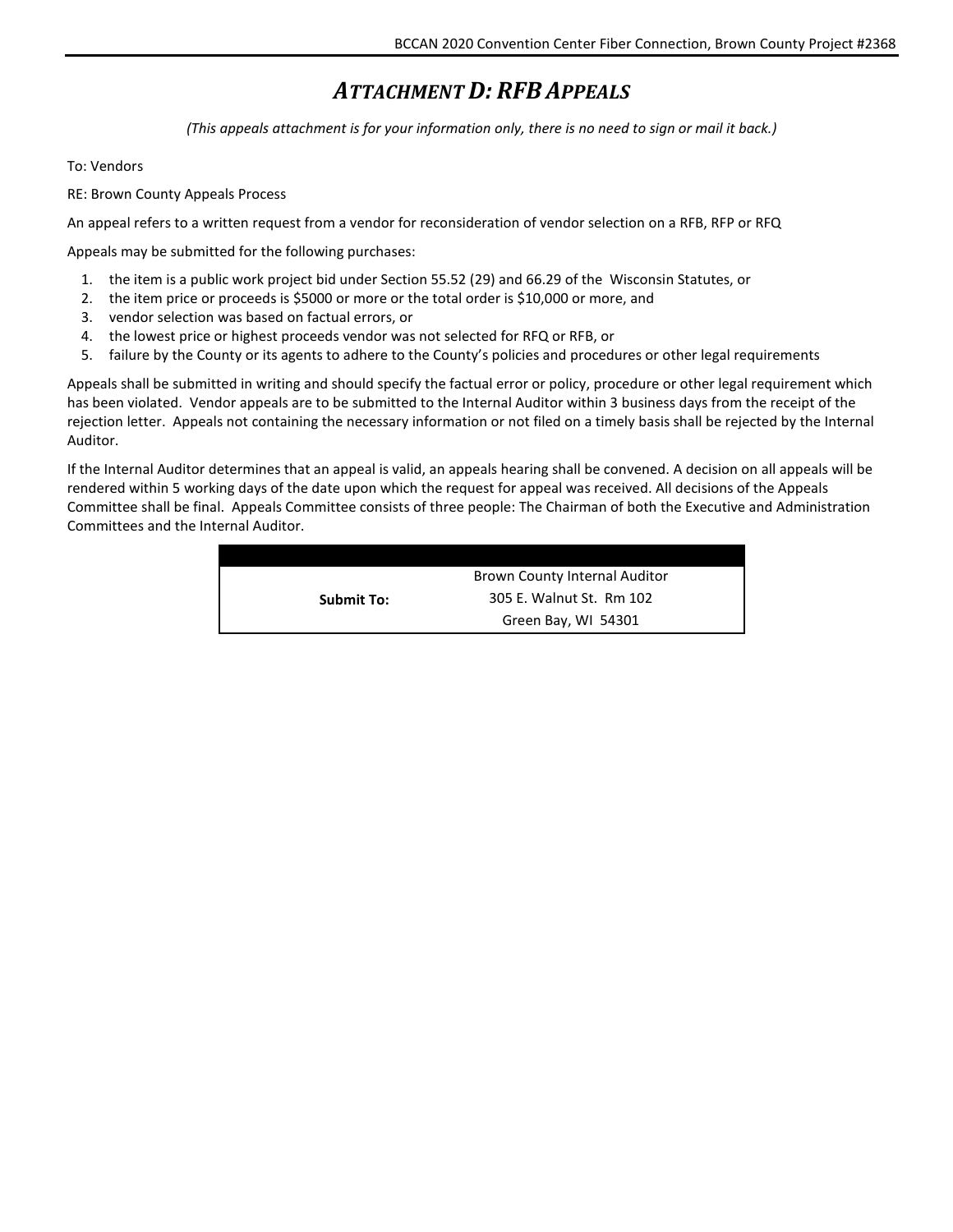## *ATTACHMENT D: RFB APPEALS*

*(This appeals attachment is for your information only, there is no need to sign or mail it back.)*

#### <span id="page-12-0"></span>To: Vendors

RE: Brown County Appeals Process

An appeal refers to a written request from a vendor for reconsideration of vendor selection on a RFB, RFP or RFQ

Appeals may be submitted for the following purchases:

- 1. the item is a public work project bid under Section 55.52 (29) and 66.29 of the Wisconsin Statutes, or
- 2. the item price or proceeds is \$5000 or more or the total order is \$10,000 or more, and
- 3. vendor selection was based on factual errors, or
- 4. the lowest price or highest proceeds vendor was not selected for RFQ or RFB, or
- 5. failure by the County or its agents to adhere to the County's policies and procedures or other legal requirements

Appeals shall be submitted in writing and should specify the factual error or policy, procedure or other legal requirement which has been violated. Vendor appeals are to be submitted to the Internal Auditor within 3 business days from the receipt of the rejection letter. Appeals not containing the necessary information or not filed on a timely basis shall be rejected by the Internal Auditor.

If the Internal Auditor determines that an appeal is valid, an appeals hearing shall be convened. A decision on all appeals will be rendered within 5 working days of the date upon which the request for appeal was received. All decisions of the Appeals Committee shall be final. Appeals Committee consists of three people: The Chairman of both the Executive and Administration Committees and the Internal Auditor.

|                   | Brown County Internal Auditor |  |
|-------------------|-------------------------------|--|
| <b>Submit To:</b> | 305 E. Walnut St. Rm 102      |  |
|                   | Green Bay, WI 54301           |  |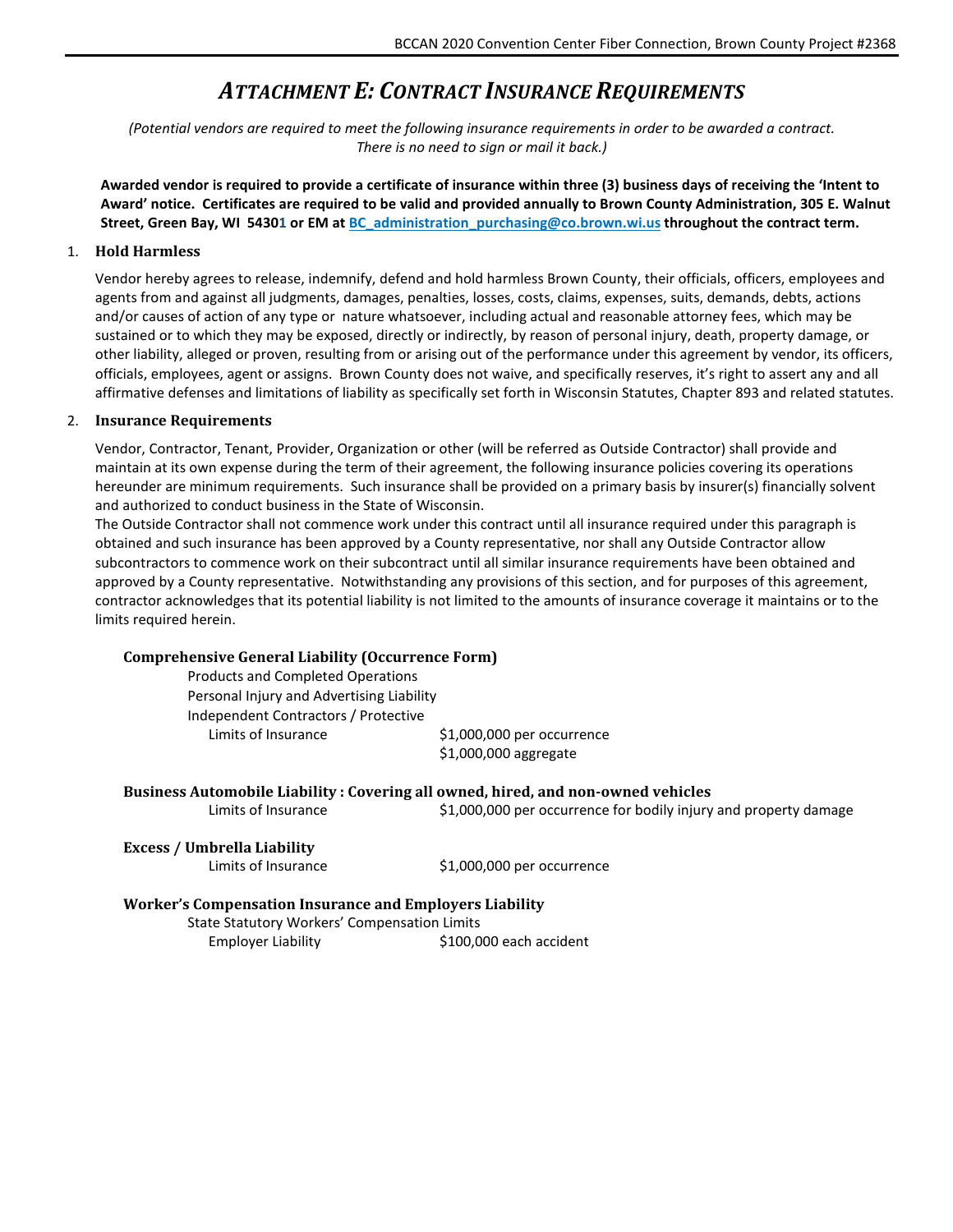## *ATTACHMENT E: CONTRACT INSURANCE REQUIREMENTS*

<span id="page-13-0"></span>*(Potential vendors are required to meet the following insurance requirements in order to be awarded a contract. There is no need to sign or mail it back.)*

**Awarded vendor is required to provide a certificate of insurance within three (3) business days of receiving the 'Intent to Award' notice. Certificates are required to be valid and provided annually to Brown County Administration, 305 E. Walnut Street, Green Bay, WI 54301 or EM at [BC\\_administration\\_purchasing@co.brown.wi.us](mailto:BC_administration_purchasing@co.brown.wi.us) throughout the contract term.**

#### 1. **Hold Harmless**

Vendor hereby agrees to release, indemnify, defend and hold harmless Brown County, their officials, officers, employees and agents from and against all judgments, damages, penalties, losses, costs, claims, expenses, suits, demands, debts, actions and/or causes of action of any type or nature whatsoever, including actual and reasonable attorney fees, which may be sustained or to which they may be exposed, directly or indirectly, by reason of personal injury, death, property damage, or other liability, alleged or proven, resulting from or arising out of the performance under this agreement by vendor, its officers, officials, employees, agent or assigns. Brown County does not waive, and specifically reserves, it's right to assert any and all affirmative defenses and limitations of liability as specifically set forth in Wisconsin Statutes, Chapter 893 and related statutes.

#### 2. **Insurance Requirements**

Vendor, Contractor, Tenant, Provider, Organization or other (will be referred as Outside Contractor) shall provide and maintain at its own expense during the term of their agreement, the following insurance policies covering its operations hereunder are minimum requirements. Such insurance shall be provided on a primary basis by insurer(s) financially solvent and authorized to conduct business in the State of Wisconsin.

The Outside Contractor shall not commence work under this contract until all insurance required under this paragraph is obtained and such insurance has been approved by a County representative, nor shall any Outside Contractor allow subcontractors to commence work on their subcontract until all similar insurance requirements have been obtained and approved by a County representative. Notwithstanding any provisions of this section, and for purposes of this agreement, contractor acknowledges that its potential liability is not limited to the amounts of insurance coverage it maintains or to the limits required herein.

#### **Comprehensive General Liability (Occurrence Form)**

Products and Completed Operations Personal Injury and Advertising Liability Independent Contractors / Protective Limits of Insurance \$1,000,000 per occurrence

\$1,000,000 aggregate

#### **Business Automobile Liability : Covering all owned, hired, and non-owned vehicles**

Limits of Insurance  $$1,000,000$  per occurrence for bodily injury and property damage

#### **Excess / Umbrella Liability**

Limits of Insurance \$1,000,000 per occurrence

#### **Worker's Compensation Insurance and Employers Liability** State Statutory Workers' Compensation Limits

Employer Liability  $$100,000$  each accident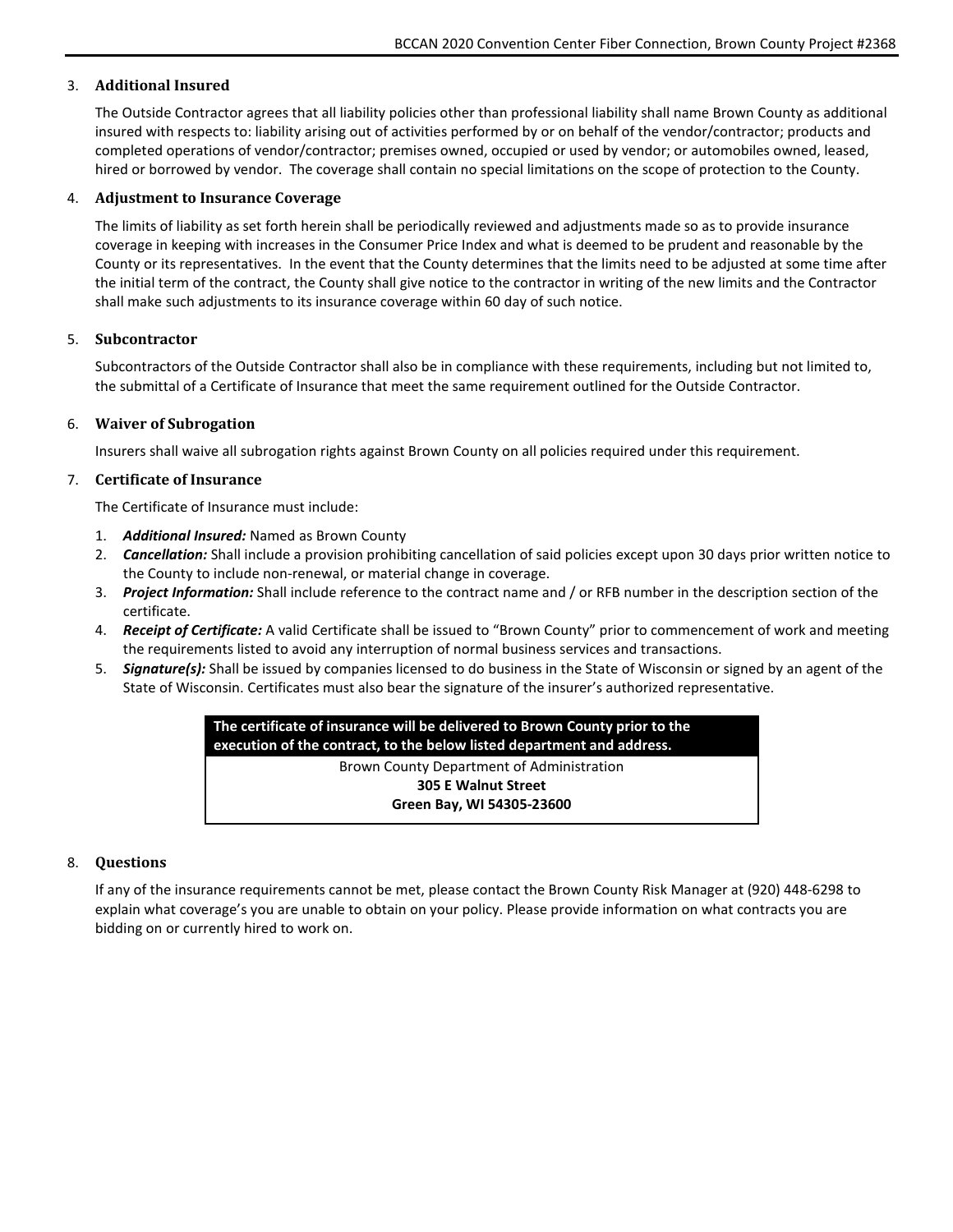### 3. **Additional Insured**

The Outside Contractor agrees that all liability policies other than professional liability shall name Brown County as additional insured with respects to: liability arising out of activities performed by or on behalf of the vendor/contractor; products and completed operations of vendor/contractor; premises owned, occupied or used by vendor; or automobiles owned, leased, hired or borrowed by vendor. The coverage shall contain no special limitations on the scope of protection to the County.

#### 4. **Adjustment to Insurance Coverage**

The limits of liability as set forth herein shall be periodically reviewed and adjustments made so as to provide insurance coverage in keeping with increases in the Consumer Price Index and what is deemed to be prudent and reasonable by the County or its representatives. In the event that the County determines that the limits need to be adjusted at some time after the initial term of the contract, the County shall give notice to the contractor in writing of the new limits and the Contractor shall make such adjustments to its insurance coverage within 60 day of such notice.

#### 5. **Subcontractor**

Subcontractors of the Outside Contractor shall also be in compliance with these requirements, including but not limited to, the submittal of a Certificate of Insurance that meet the same requirement outlined for the Outside Contractor.

#### 6. **Waiver of Subrogation**

Insurers shall waive all subrogation rights against Brown County on all policies required under this requirement.

#### 7. **Certificate of Insurance**

The Certificate of Insurance must include:

- 1. *Additional Insured:* Named as Brown County
- 2. *Cancellation:* Shall include a provision prohibiting cancellation of said policies except upon 30 days prior written notice to the County to include non-renewal, or material change in coverage.
- 3. *Project Information:* Shall include reference to the contract name and / or RFB number in the description section of the certificate.
- 4. *Receipt of Certificate:* A valid Certificate shall be issued to "Brown County" prior to commencement of work and meeting the requirements listed to avoid any interruption of normal business services and transactions.
- 5. *Signature(s):* Shall be issued by companies licensed to do business in the State of Wisconsin or signed by an agent of the State of Wisconsin. Certificates must also bear the signature of the insurer's authorized representative.

**The certificate of insurance will be delivered to Brown County prior to the execution of the contract, to the below listed department and address.** Brown County Department of Administration **305 E Walnut Street Green Bay, WI 54305-23600**

#### 8. **Questions**

If any of the insurance requirements cannot be met, please contact the Brown County Risk Manager at (920) 448-6298 to explain what coverage's you are unable to obtain on your policy. Please provide information on what contracts you are bidding on or currently hired to work on.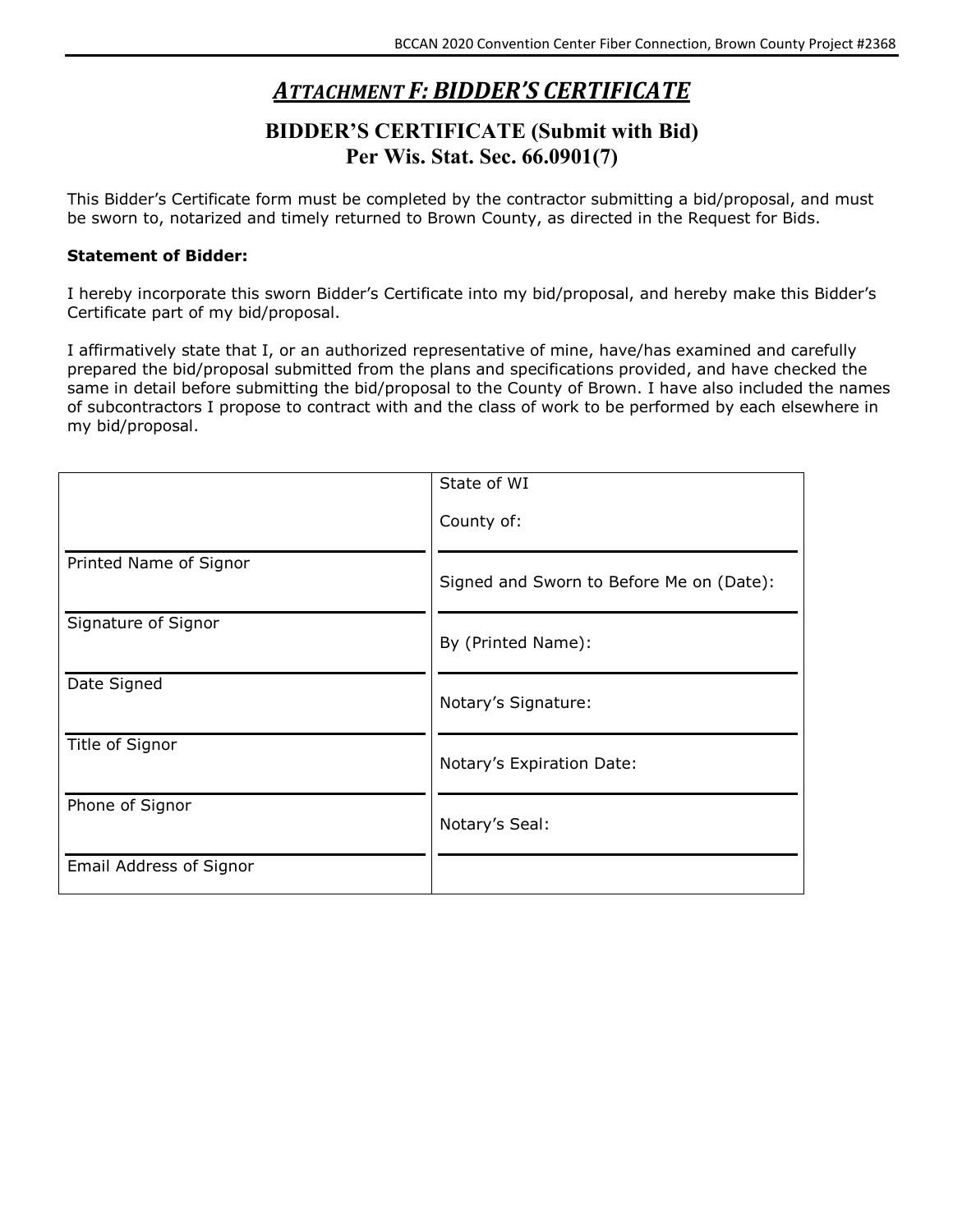## *ATTACHMENT F: BIDDER'S CERTIFICATE*

## **BIDDER'S CERTIFICATE (Submit with Bid) Per Wis. Stat. Sec. 66.0901(7)**

<span id="page-15-0"></span>This Bidder's Certificate form must be completed by the contractor submitting a bid/proposal, and must be sworn to, notarized and timely returned to Brown County, as directed in the Request for Bids.

## **Statement of Bidder:**

I hereby incorporate this sworn Bidder's Certificate into my bid/proposal, and hereby make this Bidder's Certificate part of my bid/proposal.

I affirmatively state that I, or an authorized representative of mine, have/has examined and carefully prepared the bid/proposal submitted from the plans and specifications provided, and have checked the same in detail before submitting the bid/proposal to the County of Brown. I have also included the names of subcontractors I propose to contract with and the class of work to be performed by each elsewhere in my bid/proposal.

|                         | State of WI                              |
|-------------------------|------------------------------------------|
|                         |                                          |
|                         | County of:                               |
|                         |                                          |
| Printed Name of Signor  |                                          |
|                         | Signed and Sworn to Before Me on (Date): |
|                         |                                          |
| Signature of Signor     |                                          |
|                         | By (Printed Name):                       |
|                         |                                          |
| Date Signed             |                                          |
|                         | Notary's Signature:                      |
|                         |                                          |
| Title of Signor         |                                          |
|                         | Notary's Expiration Date:                |
|                         |                                          |
| Phone of Signor         | Notary's Seal:                           |
|                         |                                          |
| Email Address of Signor |                                          |
|                         |                                          |
|                         |                                          |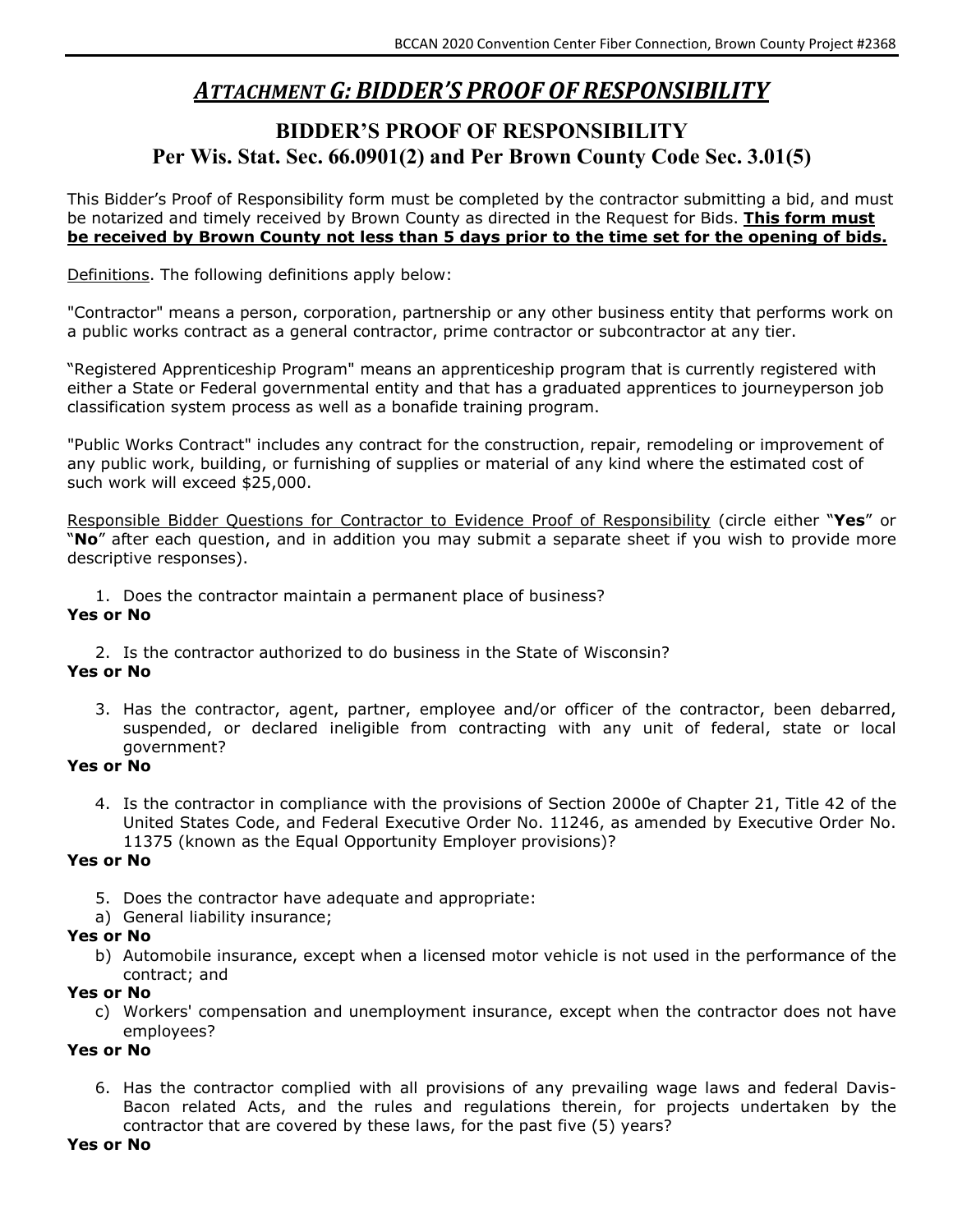## *ATTACHMENT G: BIDDER'S PROOF OF RESPONSIBILITY*

## <span id="page-16-0"></span>**BIDDER'S PROOF OF RESPONSIBILITY Per Wis. Stat. Sec. 66.0901(2) and Per Brown County Code Sec. 3.01(5)**

This Bidder's Proof of Responsibility form must be completed by the contractor submitting a bid, and must be notarized and timely received by Brown County as directed in the Request for Bids. **This form must be received by Brown County not less than 5 days prior to the time set for the opening of bids.**

Definitions. The following definitions apply below:

"Contractor" means a person, corporation, partnership or any other business entity that performs work on a public works contract as a general contractor, prime contractor or subcontractor at any tier.

"Registered Apprenticeship Program" means an apprenticeship program that is currently registered with either a State or Federal governmental entity and that has a graduated apprentices to journeyperson job classification system process as well as a bonafide training program.

"Public Works Contract" includes any contract for the construction, repair, remodeling or improvement of any public work, building, or furnishing of supplies or material of any kind where the estimated cost of such work will exceed \$25,000.

Responsible Bidder Questions for Contractor to Evidence Proof of Responsibility (circle either "**Yes**" or "**No**" after each question, and in addition you may submit a separate sheet if you wish to provide more descriptive responses).

1. Does the contractor maintain a permanent place of business?

## **Yes or No**

2. Is the contractor authorized to do business in the State of Wisconsin?

## **Yes or No**

3. Has the contractor, agent, partner, employee and/or officer of the contractor, been debarred, suspended, or declared ineligible from contracting with any unit of federal, state or local government?

### **Yes or No**

4. Is the contractor in compliance with the provisions of Section 2000e of Chapter 21, Title 42 of the United States Code, and Federal Executive Order No. 11246, as amended by Executive Order No. 11375 (known as the Equal Opportunity Employer provisions)?

## **Yes or No**

- 5. Does the contractor have adequate and appropriate:
- a) General liability insurance;

## **Yes or No**

b) Automobile insurance, except when a licensed motor vehicle is not used in the performance of the contract; and

### **Yes or No**

c) Workers' compensation and unemployment insurance, except when the contractor does not have employees?

### **Yes or No**

6. Has the contractor complied with all provisions of any prevailing wage laws and federal Davis-Bacon related Acts, and the rules and regulations therein, for projects undertaken by the contractor that are covered by these laws, for the past five (5) years?

### **Yes or No**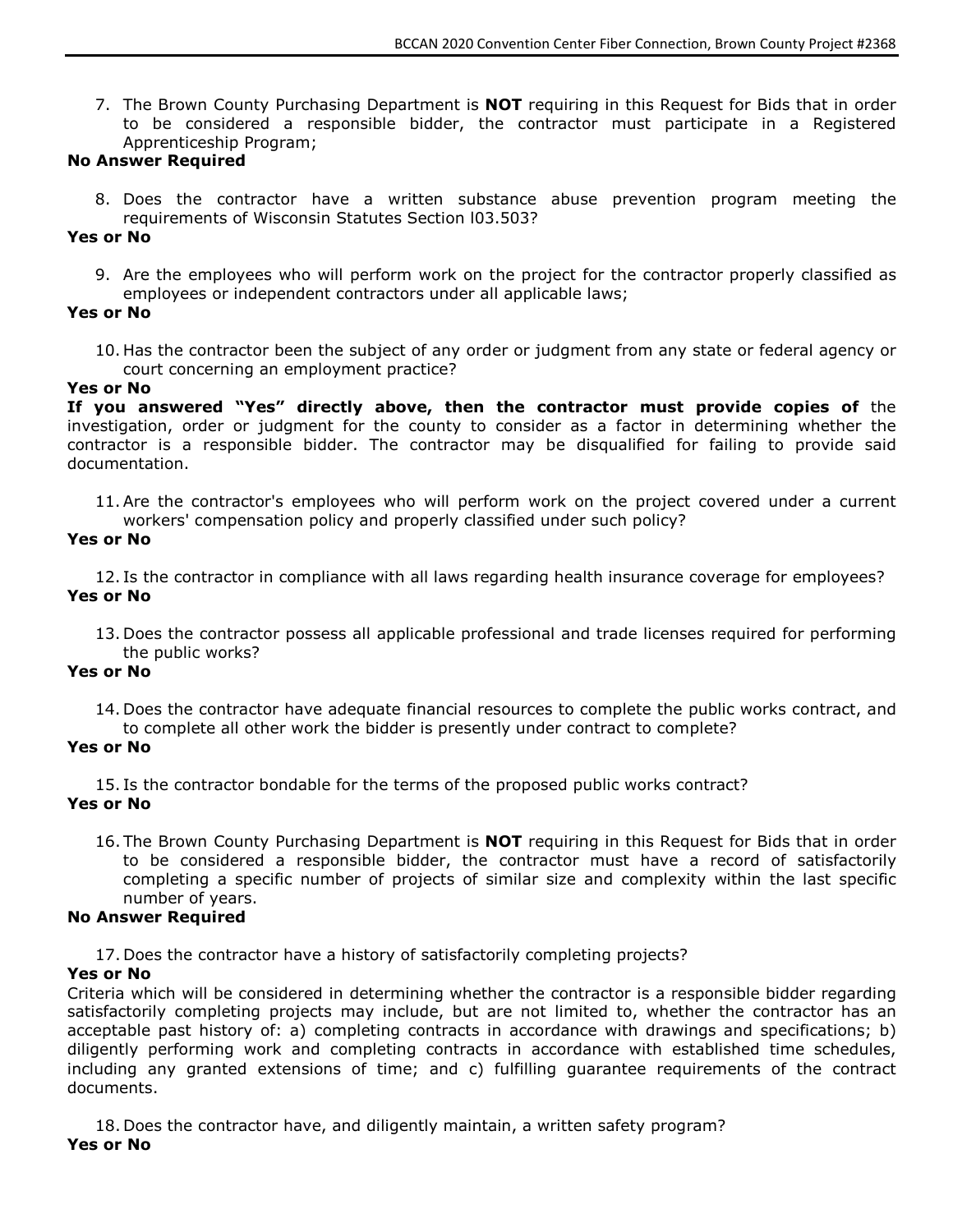7. The Brown County Purchasing Department is **NOT** requiring in this Request for Bids that in order to be considered a responsible bidder, the contractor must participate in a Registered Apprenticeship Program;

### **No Answer Required**

8. Does the contractor have a written substance abuse prevention program meeting the requirements of Wisconsin Statutes Section l03.503?

### **Yes or No**

9. Are the employees who will perform work on the project for the contractor properly classified as employees or independent contractors under all applicable laws;

### **Yes or No**

10. Has the contractor been the subject of any order or judgment from any state or federal agency or court concerning an employment practice?

### **Yes or No**

**If you answered "Yes" directly above, then the contractor must provide copies of** the investigation, order or judgment for the county to consider as a factor in determining whether the contractor is a responsible bidder. The contractor may be disqualified for failing to provide said documentation.

11.Are the contractor's employees who will perform work on the project covered under a current workers' compensation policy and properly classified under such policy?

### **Yes or No**

12. Is the contractor in compliance with all laws regarding health insurance coverage for employees? **Yes or No**

13. Does the contractor possess all applicable professional and trade licenses required for performing the public works?

### **Yes or No**

14. Does the contractor have adequate financial resources to complete the public works contract, and to complete all other work the bidder is presently under contract to complete?

### **Yes or No**

15. Is the contractor bondable for the terms of the proposed public works contract?

## **Yes or No**

16. The Brown County Purchasing Department is **NOT** requiring in this Request for Bids that in order to be considered a responsible bidder, the contractor must have a record of satisfactorily completing a specific number of projects of similar size and complexity within the last specific number of years.

## **No Answer Required**

17. Does the contractor have a history of satisfactorily completing projects?

## **Yes or No**

Criteria which will be considered in determining whether the contractor is a responsible bidder regarding satisfactorily completing projects may include, but are not limited to, whether the contractor has an acceptable past history of: a) completing contracts in accordance with drawings and specifications; b) diligently performing work and completing contracts in accordance with established time schedules, including any granted extensions of time; and c) fulfilling guarantee requirements of the contract documents.

18. Does the contractor have, and diligently maintain, a written safety program? **Yes or No**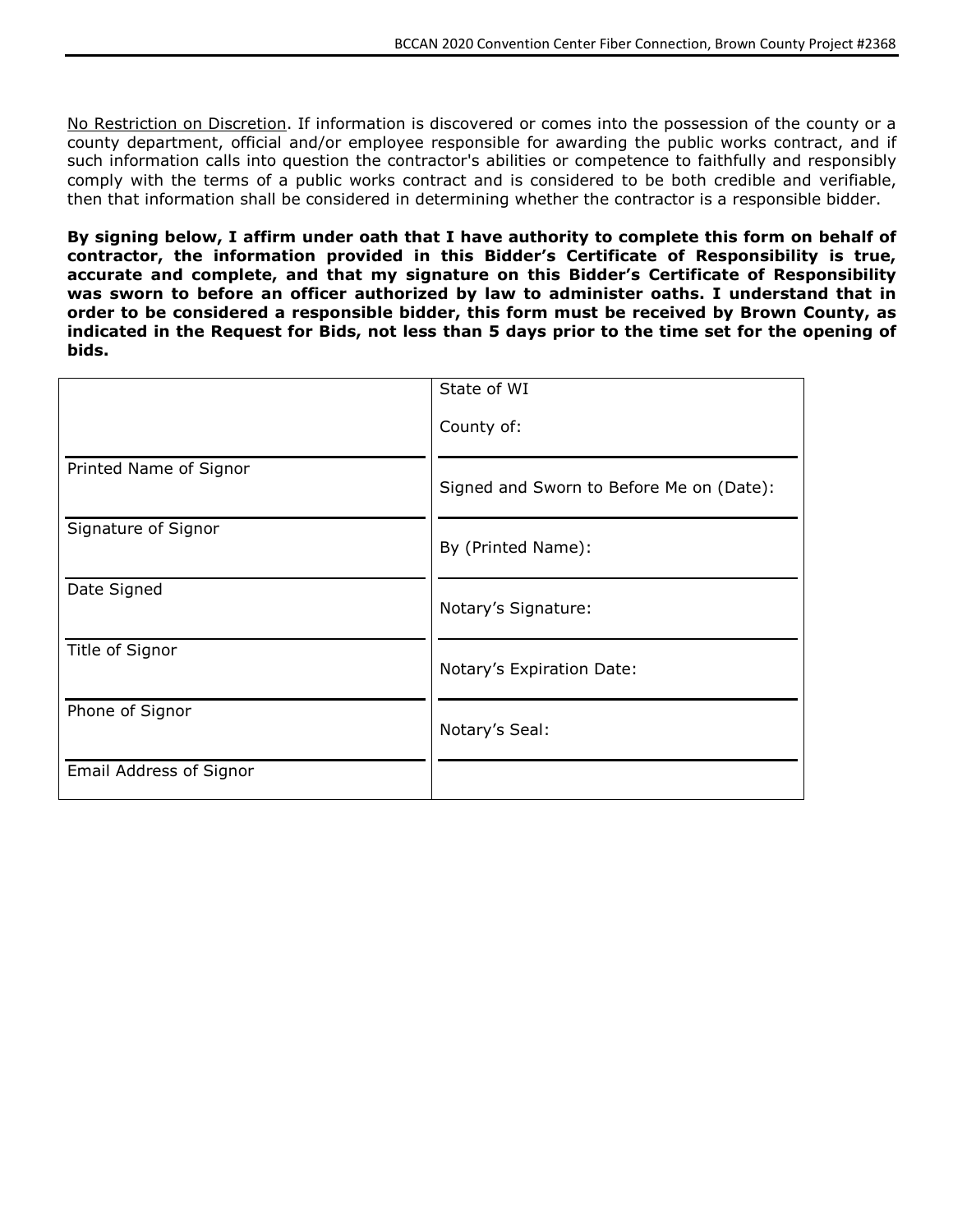No Restriction on Discretion. If information is discovered or comes into the possession of the county or a county department, official and/or employee responsible for awarding the public works contract, and if such information calls into question the contractor's abilities or competence to faithfully and responsibly comply with the terms of a public works contract and is considered to be both credible and verifiable, then that information shall be considered in determining whether the contractor is a responsible bidder.

**By signing below, I affirm under oath that I have authority to complete this form on behalf of contractor, the information provided in this Bidder's Certificate of Responsibility is true, accurate and complete, and that my signature on this Bidder's Certificate of Responsibility was sworn to before an officer authorized by law to administer oaths. I understand that in order to be considered a responsible bidder, this form must be received by Brown County, as indicated in the Request for Bids, not less than 5 days prior to the time set for the opening of bids.**

|                         | State of WI                              |
|-------------------------|------------------------------------------|
|                         | County of:                               |
| Printed Name of Signor  | Signed and Sworn to Before Me on (Date): |
| Signature of Signor     | By (Printed Name):                       |
| Date Signed             | Notary's Signature:                      |
| Title of Signor         | Notary's Expiration Date:                |
| Phone of Signor         | Notary's Seal:                           |
| Email Address of Signor |                                          |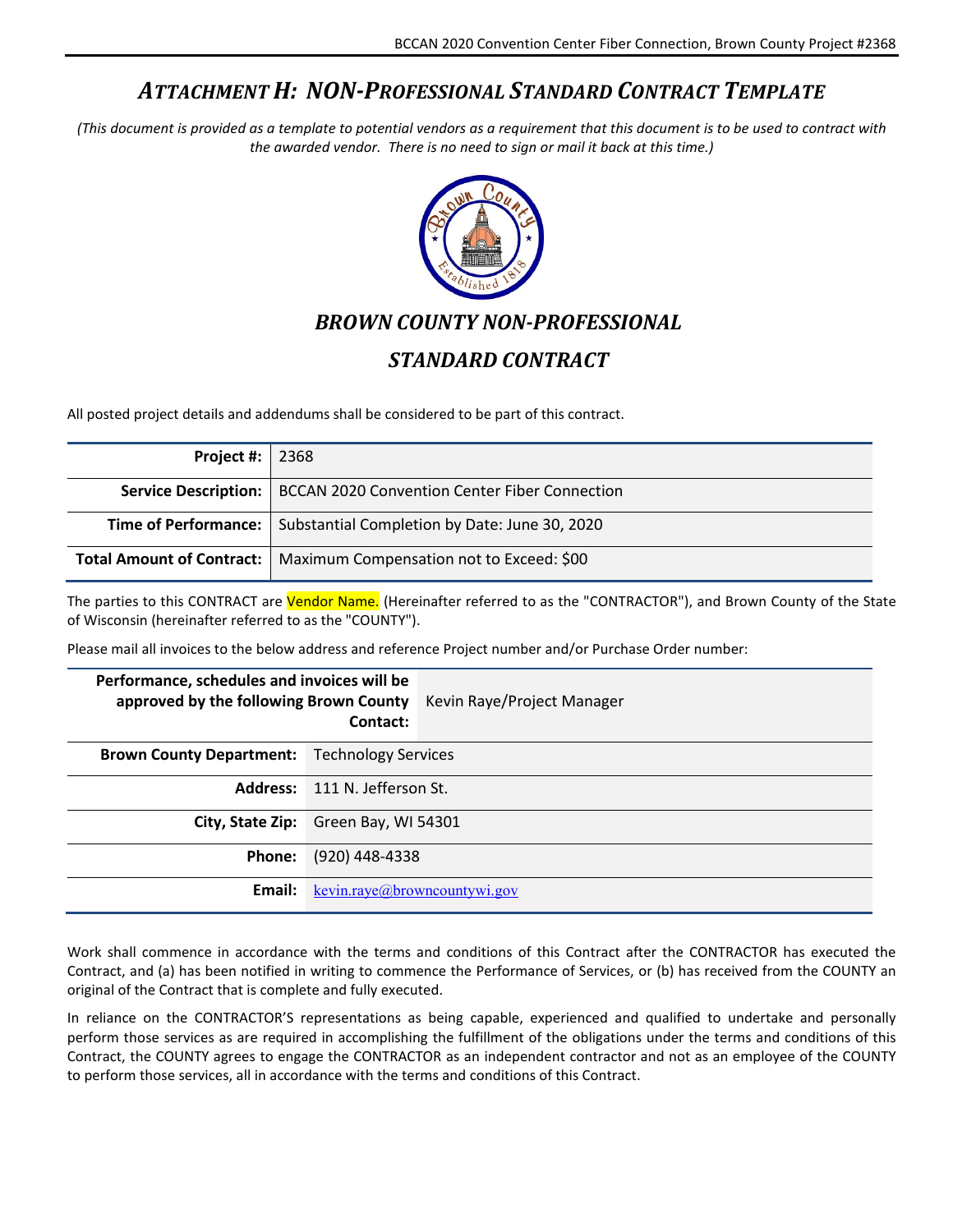## *ATTACHMENT H: NON-PROFESSIONAL STANDARD CONTRACT TEMPLATE*

<span id="page-19-0"></span>*(This document is provided as a template to potential vendors as a requirement that this document is to be used to contract with the awarded vendor. There is no need to sign or mail it back at this time.)*



## *BROWN COUNTY NON-PROFESSIONAL*

## *STANDARD CONTRACT*

All posted project details and addendums shall be considered to be part of this contract.

| Project #: $ 2368 $ |                                                                             |
|---------------------|-----------------------------------------------------------------------------|
|                     | <b>Service Description:</b>   BCCAN 2020 Convention Center Fiber Connection |
|                     | <b>Time of Performance:</b>   Substantial Completion by Date: June 30, 2020 |
|                     | <b>Total Amount of Contract:</b>   Maximum Compensation not to Exceed: \$00 |

The parties to this CONTRACT are *Vendor Name.* (Hereinafter referred to as the "CONTRACTOR"), and Brown County of the State of Wisconsin (hereinafter referred to as the "COUNTY").

Please mail all invoices to the below address and reference Project number and/or Purchase Order number:

| Performance, schedules and invoices will be         | Contact:                            | approved by the following Brown County Kevin Raye/Project Manager |
|-----------------------------------------------------|-------------------------------------|-------------------------------------------------------------------|
| <b>Brown County Department:</b> Technology Services |                                     |                                                                   |
| <b>Address:</b> 111 N. Jefferson St.                |                                     |                                                                   |
| City, State Zip: Green Bay, WI 54301                |                                     |                                                                   |
| <b>Phone:</b>                                       | (920) 448-4338                      |                                                                   |
| Email:                                              | <u>kevin.raye@browncountywi.gov</u> |                                                                   |

Work shall commence in accordance with the terms and conditions of this Contract after the CONTRACTOR has executed the Contract, and (a) has been notified in writing to commence the Performance of Services, or (b) has received from the COUNTY an original of the Contract that is complete and fully executed.

In reliance on the CONTRACTOR'S representations as being capable, experienced and qualified to undertake and personally perform those services as are required in accomplishing the fulfillment of the obligations under the terms and conditions of this Contract, the COUNTY agrees to engage the CONTRACTOR as an independent contractor and not as an employee of the COUNTY to perform those services, all in accordance with the terms and conditions of this Contract.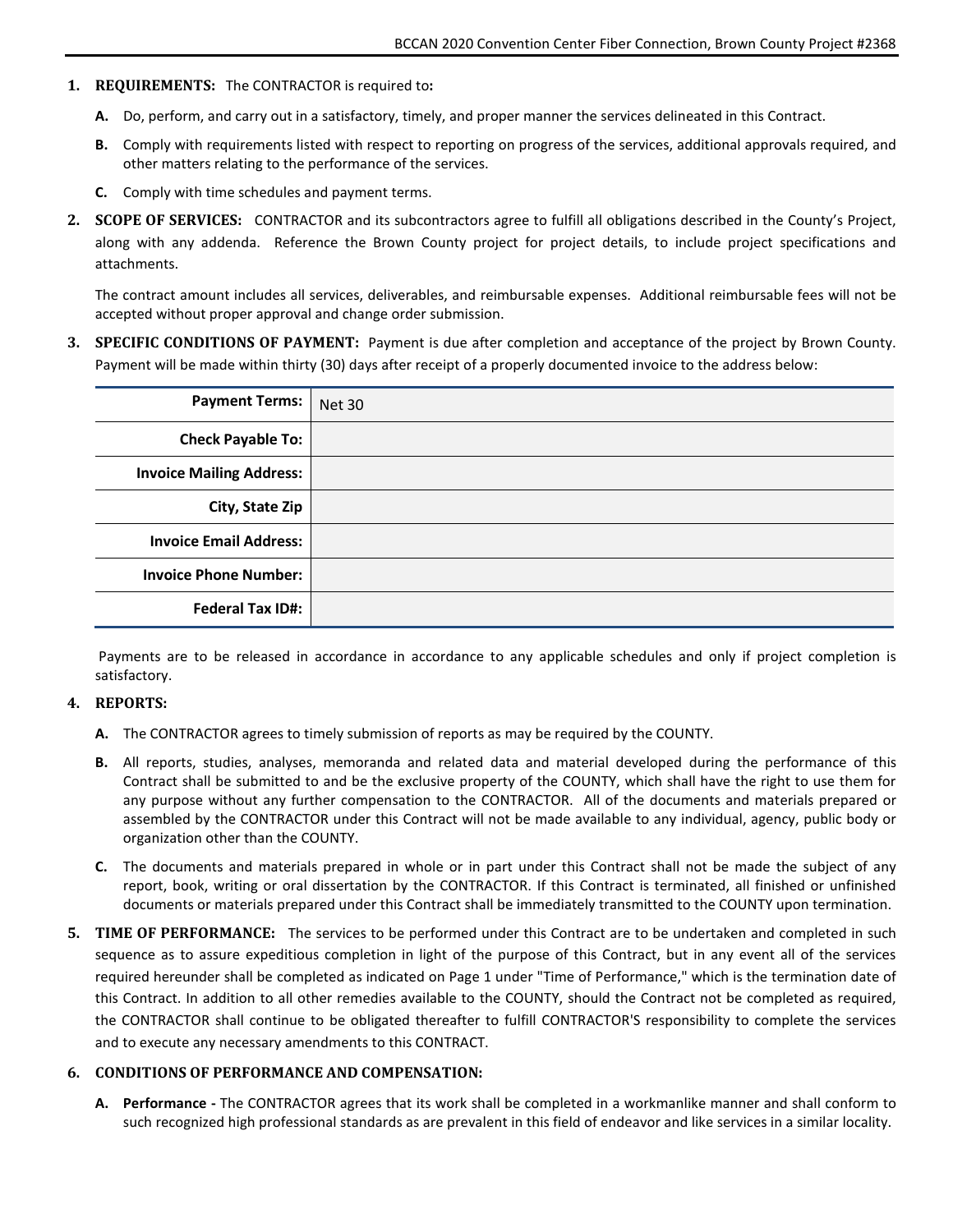- **1. REQUIREMENTS:** The CONTRACTOR is required to**:**
	- **A.** Do, perform, and carry out in a satisfactory, timely, and proper manner the services delineated in this Contract.
	- **B.** Comply with requirements listed with respect to reporting on progress of the services, additional approvals required, and other matters relating to the performance of the services.
	- **C.** Comply with time schedules and payment terms.
- **2. SCOPE OF SERVICES:** CONTRACTOR and its subcontractors agree to fulfill all obligations described in the County's Project, along with any addenda. Reference the Brown County project for project details, to include project specifications and attachments.

The contract amount includes all services, deliverables, and reimbursable expenses. Additional reimbursable fees will not be accepted without proper approval and change order submission.

**3. SPECIFIC CONDITIONS OF PAYMENT:** Payment is due after completion and acceptance of the project by Brown County. Payment will be made within thirty (30) days after receipt of a properly documented invoice to the address below:

| <b>Payment Terms:</b>           | <b>Net 30</b> |
|---------------------------------|---------------|
| <b>Check Payable To:</b>        |               |
| <b>Invoice Mailing Address:</b> |               |
| City, State Zip                 |               |
| <b>Invoice Email Address:</b>   |               |
| <b>Invoice Phone Number:</b>    |               |
| <b>Federal Tax ID#:</b>         |               |

Payments are to be released in accordance in accordance to any applicable schedules and only if project completion is satisfactory.

#### **4. REPORTS:**

- **A.** The CONTRACTOR agrees to timely submission of reports as may be required by the COUNTY.
- **B.** All reports, studies, analyses, memoranda and related data and material developed during the performance of this Contract shall be submitted to and be the exclusive property of the COUNTY, which shall have the right to use them for any purpose without any further compensation to the CONTRACTOR. All of the documents and materials prepared or assembled by the CONTRACTOR under this Contract will not be made available to any individual, agency, public body or organization other than the COUNTY.
- **C.** The documents and materials prepared in whole or in part under this Contract shall not be made the subject of any report, book, writing or oral dissertation by the CONTRACTOR. If this Contract is terminated, all finished or unfinished documents or materials prepared under this Contract shall be immediately transmitted to the COUNTY upon termination.
- **5. TIME OF PERFORMANCE:** The services to be performed under this Contract are to be undertaken and completed in such sequence as to assure expeditious completion in light of the purpose of this Contract, but in any event all of the services required hereunder shall be completed as indicated on Page 1 under "Time of Performance," which is the termination date of this Contract. In addition to all other remedies available to the COUNTY, should the Contract not be completed as required, the CONTRACTOR shall continue to be obligated thereafter to fulfill CONTRACTOR'S responsibility to complete the services and to execute any necessary amendments to this CONTRACT.

#### **6. CONDITIONS OF PERFORMANCE AND COMPENSATION:**

**A. Performance -** The CONTRACTOR agrees that its work shall be completed in a workmanlike manner and shall conform to such recognized high professional standards as are prevalent in this field of endeavor and like services in a similar locality.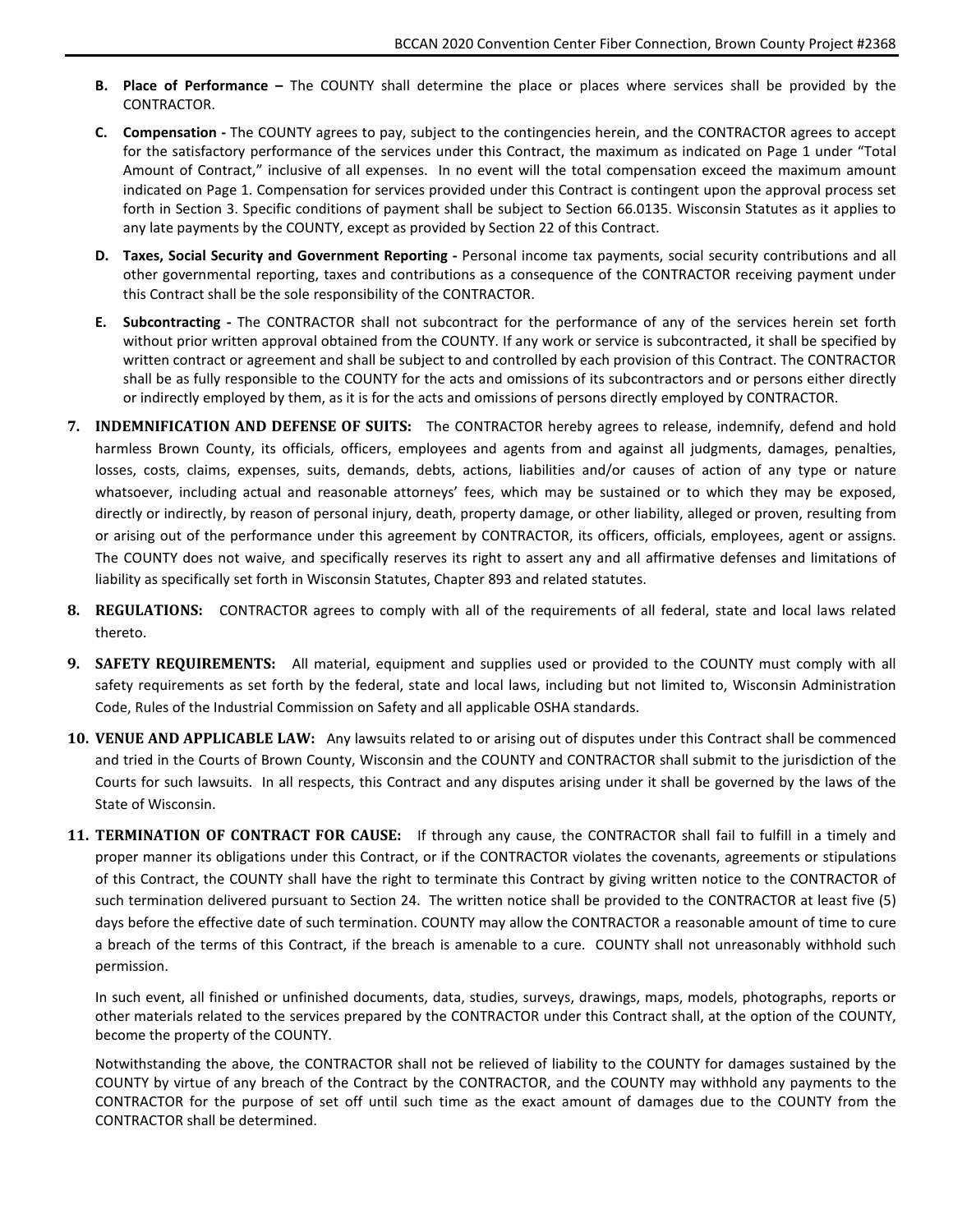- **B. Place of Performance –** The COUNTY shall determine the place or places where services shall be provided by the CONTRACTOR.
- **C. Compensation -** The COUNTY agrees to pay, subject to the contingencies herein, and the CONTRACTOR agrees to accept for the satisfactory performance of the services under this Contract, the maximum as indicated on Page 1 under "Total Amount of Contract," inclusive of all expenses. In no event will the total compensation exceed the maximum amount indicated on Page 1. Compensation for services provided under this Contract is contingent upon the approval process set forth in Section 3. Specific conditions of payment shall be subject to Section 66.0135. Wisconsin Statutes as it applies to any late payments by the COUNTY, except as provided by Section 22 of this Contract.
- **D. Taxes, Social Security and Government Reporting -** Personal income tax payments, social security contributions and all other governmental reporting, taxes and contributions as a consequence of the CONTRACTOR receiving payment under this Contract shall be the sole responsibility of the CONTRACTOR.
- **E. Subcontracting -** The CONTRACTOR shall not subcontract for the performance of any of the services herein set forth without prior written approval obtained from the COUNTY. If any work or service is subcontracted, it shall be specified by written contract or agreement and shall be subject to and controlled by each provision of this Contract. The CONTRACTOR shall be as fully responsible to the COUNTY for the acts and omissions of its subcontractors and or persons either directly or indirectly employed by them, as it is for the acts and omissions of persons directly employed by CONTRACTOR.
- **7. INDEMNIFICATION AND DEFENSE OF SUITS:** The CONTRACTOR hereby agrees to release, indemnify, defend and hold harmless Brown County, its officials, officers, employees and agents from and against all judgments, damages, penalties, losses, costs, claims, expenses, suits, demands, debts, actions, liabilities and/or causes of action of any type or nature whatsoever, including actual and reasonable attorneys' fees, which may be sustained or to which they may be exposed, directly or indirectly, by reason of personal injury, death, property damage, or other liability, alleged or proven, resulting from or arising out of the performance under this agreement by CONTRACTOR, its officers, officials, employees, agent or assigns. The COUNTY does not waive, and specifically reserves its right to assert any and all affirmative defenses and limitations of liability as specifically set forth in Wisconsin Statutes, Chapter 893 and related statutes.
- **8. REGULATIONS:** CONTRACTOR agrees to comply with all of the requirements of all federal, state and local laws related thereto.
- **9. SAFETY REQUIREMENTS:** All material, equipment and supplies used or provided to the COUNTY must comply with all safety requirements as set forth by the federal, state and local laws, including but not limited to, Wisconsin Administration Code, Rules of the Industrial Commission on Safety and all applicable OSHA standards.
- **10. VENUE AND APPLICABLE LAW:** Any lawsuits related to or arising out of disputes under this Contract shall be commenced and tried in the Courts of Brown County, Wisconsin and the COUNTY and CONTRACTOR shall submit to the jurisdiction of the Courts for such lawsuits. In all respects, this Contract and any disputes arising under it shall be governed by the laws of the State of Wisconsin.
- **11. TERMINATION OF CONTRACT FOR CAUSE:** If through any cause, the CONTRACTOR shall fail to fulfill in a timely and proper manner its obligations under this Contract, or if the CONTRACTOR violates the covenants, agreements or stipulations of this Contract, the COUNTY shall have the right to terminate this Contract by giving written notice to the CONTRACTOR of such termination delivered pursuant to Section 24. The written notice shall be provided to the CONTRACTOR at least five (5) days before the effective date of such termination. COUNTY may allow the CONTRACTOR a reasonable amount of time to cure a breach of the terms of this Contract, if the breach is amenable to a cure. COUNTY shall not unreasonably withhold such permission.

In such event, all finished or unfinished documents, data, studies, surveys, drawings, maps, models, photographs, reports or other materials related to the services prepared by the CONTRACTOR under this Contract shall, at the option of the COUNTY, become the property of the COUNTY.

Notwithstanding the above, the CONTRACTOR shall not be relieved of liability to the COUNTY for damages sustained by the COUNTY by virtue of any breach of the Contract by the CONTRACTOR, and the COUNTY may withhold any payments to the CONTRACTOR for the purpose of set off until such time as the exact amount of damages due to the COUNTY from the CONTRACTOR shall be determined.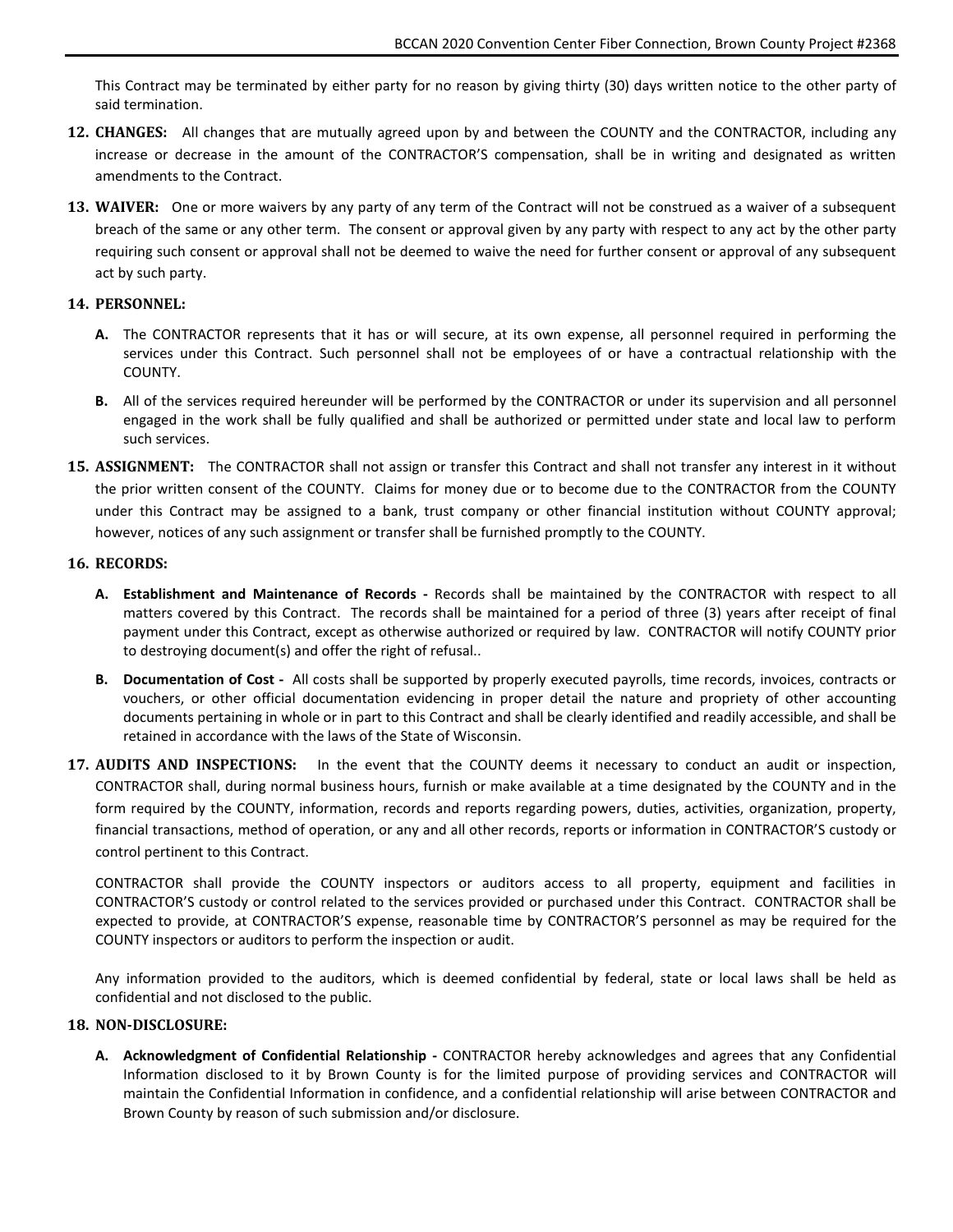This Contract may be terminated by either party for no reason by giving thirty (30) days written notice to the other party of said termination.

- **12. CHANGES:** All changes that are mutually agreed upon by and between the COUNTY and the CONTRACTOR, including any increase or decrease in the amount of the CONTRACTOR'S compensation, shall be in writing and designated as written amendments to the Contract.
- **13. WAIVER:** One or more waivers by any party of any term of the Contract will not be construed as a waiver of a subsequent breach of the same or any other term. The consent or approval given by any party with respect to any act by the other party requiring such consent or approval shall not be deemed to waive the need for further consent or approval of any subsequent act by such party.

#### **14. PERSONNEL:**

- **A.** The CONTRACTOR represents that it has or will secure, at its own expense, all personnel required in performing the services under this Contract. Such personnel shall not be employees of or have a contractual relationship with the COUNTY.
- **B.** All of the services required hereunder will be performed by the CONTRACTOR or under its supervision and all personnel engaged in the work shall be fully qualified and shall be authorized or permitted under state and local law to perform such services.
- **15. ASSIGNMENT:** The CONTRACTOR shall not assign or transfer this Contract and shall not transfer any interest in it without the prior written consent of the COUNTY. Claims for money due or to become due to the CONTRACTOR from the COUNTY under this Contract may be assigned to a bank, trust company or other financial institution without COUNTY approval; however, notices of any such assignment or transfer shall be furnished promptly to the COUNTY.

#### **16. RECORDS:**

- **A. Establishment and Maintenance of Records -** Records shall be maintained by the CONTRACTOR with respect to all matters covered by this Contract. The records shall be maintained for a period of three (3) years after receipt of final payment under this Contract, except as otherwise authorized or required by law. CONTRACTOR will notify COUNTY prior to destroying document(s) and offer the right of refusal..
- **B. Documentation of Cost -** All costs shall be supported by properly executed payrolls, time records, invoices, contracts or vouchers, or other official documentation evidencing in proper detail the nature and propriety of other accounting documents pertaining in whole or in part to this Contract and shall be clearly identified and readily accessible, and shall be retained in accordance with the laws of the State of Wisconsin.
- **17. AUDITS AND INSPECTIONS:** In the event that the COUNTY deems it necessary to conduct an audit or inspection, CONTRACTOR shall, during normal business hours, furnish or make available at a time designated by the COUNTY and in the form required by the COUNTY, information, records and reports regarding powers, duties, activities, organization, property, financial transactions, method of operation, or any and all other records, reports or information in CONTRACTOR'S custody or control pertinent to this Contract.

CONTRACTOR shall provide the COUNTY inspectors or auditors access to all property, equipment and facilities in CONTRACTOR'S custody or control related to the services provided or purchased under this Contract. CONTRACTOR shall be expected to provide, at CONTRACTOR'S expense, reasonable time by CONTRACTOR'S personnel as may be required for the COUNTY inspectors or auditors to perform the inspection or audit.

Any information provided to the auditors, which is deemed confidential by federal, state or local laws shall be held as confidential and not disclosed to the public.

#### **18. NON-DISCLOSURE:**

**A. Acknowledgment of Confidential Relationship -** CONTRACTOR hereby acknowledges and agrees that any Confidential Information disclosed to it by Brown County is for the limited purpose of providing services and CONTRACTOR will maintain the Confidential Information in confidence, and a confidential relationship will arise between CONTRACTOR and Brown County by reason of such submission and/or disclosure.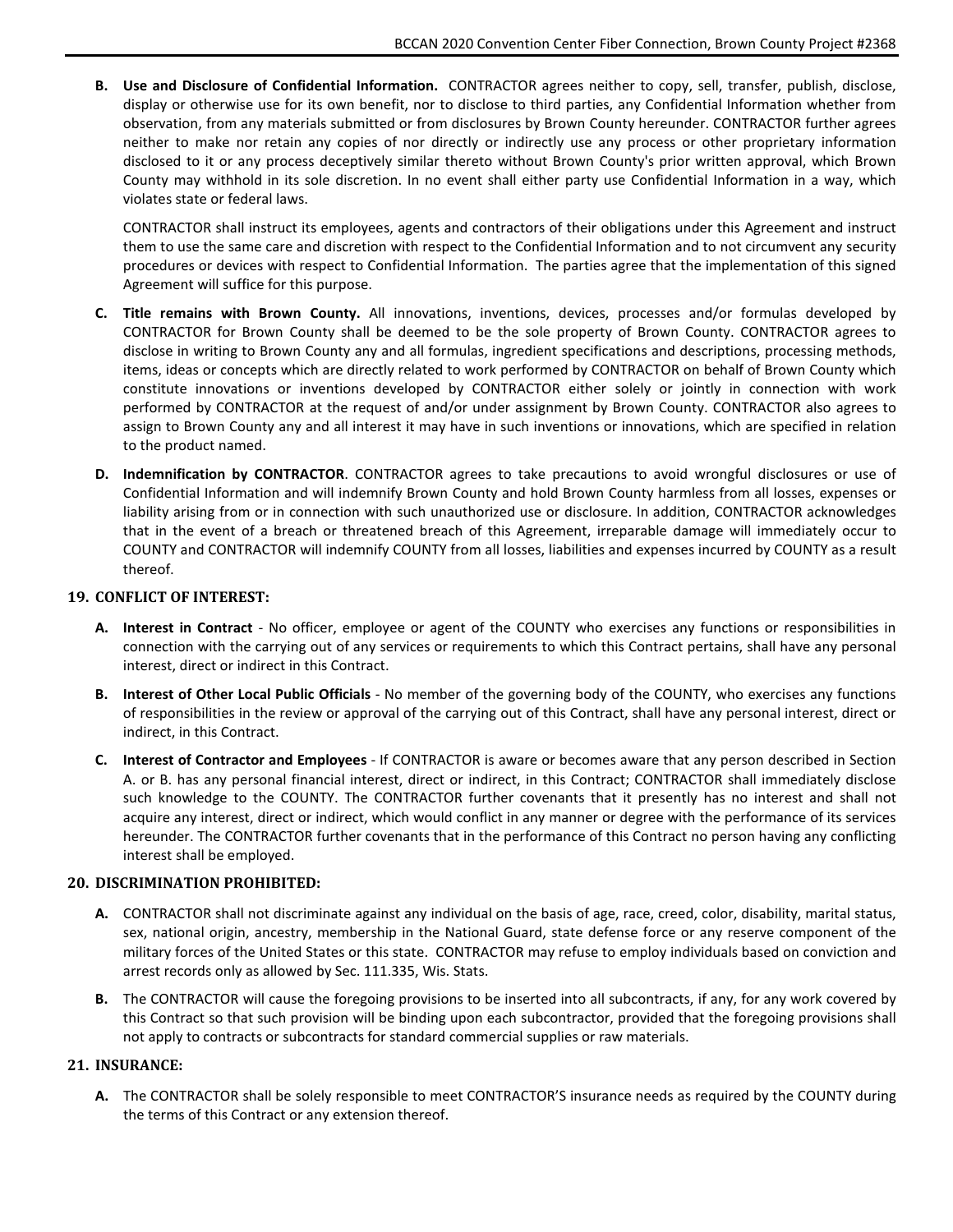**B. Use and Disclosure of Confidential Information.** CONTRACTOR agrees neither to copy, sell, transfer, publish, disclose, display or otherwise use for its own benefit, nor to disclose to third parties, any Confidential Information whether from observation, from any materials submitted or from disclosures by Brown County hereunder. CONTRACTOR further agrees neither to make nor retain any copies of nor directly or indirectly use any process or other proprietary information disclosed to it or any process deceptively similar thereto without Brown County's prior written approval, which Brown County may withhold in its sole discretion. In no event shall either party use Confidential Information in a way, which violates state or federal laws.

CONTRACTOR shall instruct its employees, agents and contractors of their obligations under this Agreement and instruct them to use the same care and discretion with respect to the Confidential Information and to not circumvent any security procedures or devices with respect to Confidential Information. The parties agree that the implementation of this signed Agreement will suffice for this purpose.

- **C. Title remains with Brown County.** All innovations, inventions, devices, processes and/or formulas developed by CONTRACTOR for Brown County shall be deemed to be the sole property of Brown County. CONTRACTOR agrees to disclose in writing to Brown County any and all formulas, ingredient specifications and descriptions, processing methods, items, ideas or concepts which are directly related to work performed by CONTRACTOR on behalf of Brown County which constitute innovations or inventions developed by CONTRACTOR either solely or jointly in connection with work performed by CONTRACTOR at the request of and/or under assignment by Brown County. CONTRACTOR also agrees to assign to Brown County any and all interest it may have in such inventions or innovations, which are specified in relation to the product named.
- **D. Indemnification by CONTRACTOR**. CONTRACTOR agrees to take precautions to avoid wrongful disclosures or use of Confidential Information and will indemnify Brown County and hold Brown County harmless from all losses, expenses or liability arising from or in connection with such unauthorized use or disclosure. In addition, CONTRACTOR acknowledges that in the event of a breach or threatened breach of this Agreement, irreparable damage will immediately occur to COUNTY and CONTRACTOR will indemnify COUNTY from all losses, liabilities and expenses incurred by COUNTY as a result thereof.

#### **19. CONFLICT OF INTEREST:**

- **A. Interest in Contract** No officer, employee or agent of the COUNTY who exercises any functions or responsibilities in connection with the carrying out of any services or requirements to which this Contract pertains, shall have any personal interest, direct or indirect in this Contract.
- **B. Interest of Other Local Public Officials** No member of the governing body of the COUNTY, who exercises any functions of responsibilities in the review or approval of the carrying out of this Contract, shall have any personal interest, direct or indirect, in this Contract.
- **C. Interest of Contractor and Employees** If CONTRACTOR is aware or becomes aware that any person described in Section A. or B. has any personal financial interest, direct or indirect, in this Contract; CONTRACTOR shall immediately disclose such knowledge to the COUNTY. The CONTRACTOR further covenants that it presently has no interest and shall not acquire any interest, direct or indirect, which would conflict in any manner or degree with the performance of its services hereunder. The CONTRACTOR further covenants that in the performance of this Contract no person having any conflicting interest shall be employed.

#### **20. DISCRIMINATION PROHIBITED:**

- **A.** CONTRACTOR shall not discriminate against any individual on the basis of age, race, creed, color, disability, marital status, sex, national origin, ancestry, membership in the National Guard, state defense force or any reserve component of the military forces of the United States or this state. CONTRACTOR may refuse to employ individuals based on conviction and arrest records only as allowed by Sec. 111.335, Wis. Stats.
- **B.** The CONTRACTOR will cause the foregoing provisions to be inserted into all subcontracts, if any, for any work covered by this Contract so that such provision will be binding upon each subcontractor, provided that the foregoing provisions shall not apply to contracts or subcontracts for standard commercial supplies or raw materials.

#### **21. INSURANCE:**

**A.** The CONTRACTOR shall be solely responsible to meet CONTRACTOR'S insurance needs as required by the COUNTY during the terms of this Contract or any extension thereof.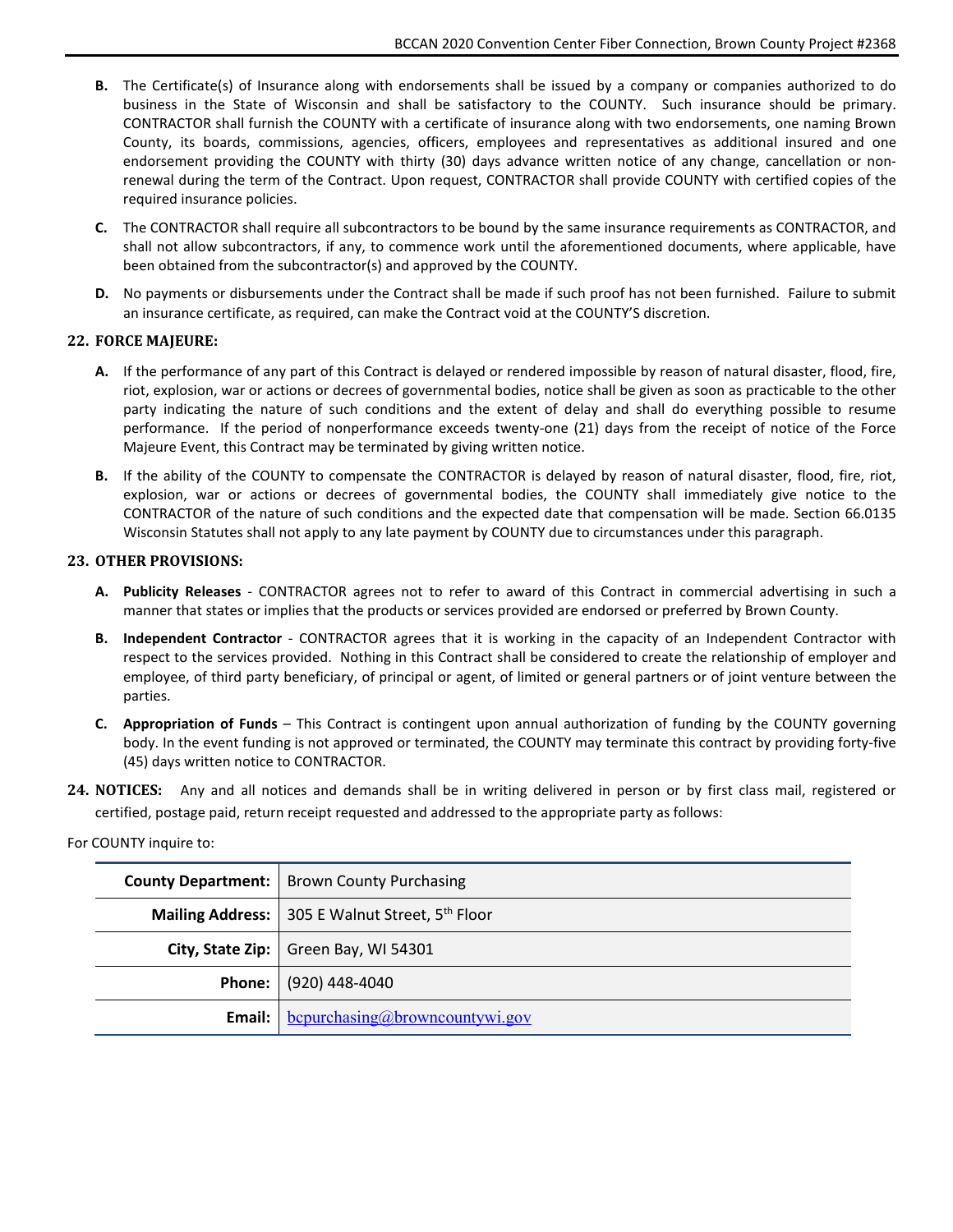- **B.** The Certificate(s) of Insurance along with endorsements shall be issued by a company or companies authorized to do business in the State of Wisconsin and shall be satisfactory to the COUNTY. Such insurance should be primary. CONTRACTOR shall furnish the COUNTY with a certificate of insurance along with two endorsements, one naming Brown County, its boards, commissions, agencies, officers, employees and representatives as additional insured and one endorsement providing the COUNTY with thirty (30) days advance written notice of any change, cancellation or nonrenewal during the term of the Contract. Upon request, CONTRACTOR shall provide COUNTY with certified copies of the required insurance policies.
- **C.** The CONTRACTOR shall require all subcontractors to be bound by the same insurance requirements as CONTRACTOR, and shall not allow subcontractors, if any, to commence work until the aforementioned documents, where applicable, have been obtained from the subcontractor(s) and approved by the COUNTY.
- **D.** No payments or disbursements under the Contract shall be made if such proof has not been furnished. Failure to submit an insurance certificate, as required, can make the Contract void at the COUNTY'S discretion.

#### **22. FORCE MAJEURE:**

- **A.** If the performance of any part of this Contract is delayed or rendered impossible by reason of natural disaster, flood, fire, riot, explosion, war or actions or decrees of governmental bodies, notice shall be given as soon as practicable to the other party indicating the nature of such conditions and the extent of delay and shall do everything possible to resume performance. If the period of nonperformance exceeds twenty-one (21) days from the receipt of notice of the Force Majeure Event, this Contract may be terminated by giving written notice.
- **B.** If the ability of the COUNTY to compensate the CONTRACTOR is delayed by reason of natural disaster, flood, fire, riot, explosion, war or actions or decrees of governmental bodies, the COUNTY shall immediately give notice to the CONTRACTOR of the nature of such conditions and the expected date that compensation will be made. Section 66.0135 Wisconsin Statutes shall not apply to any late payment by COUNTY due to circumstances under this paragraph.

#### **23. OTHER PROVISIONS:**

- **A. Publicity Releases** CONTRACTOR agrees not to refer to award of this Contract in commercial advertising in such a manner that states or implies that the products or services provided are endorsed or preferred by Brown County.
- **B. Independent Contractor** CONTRACTOR agrees that it is working in the capacity of an Independent Contractor with respect to the services provided. Nothing in this Contract shall be considered to create the relationship of employer and employee, of third party beneficiary, of principal or agent, of limited or general partners or of joint venture between the parties.
- **C. Appropriation of Funds** This Contract is contingent upon annual authorization of funding by the COUNTY governing body. In the event funding is not approved or terminated, the COUNTY may terminate this contract by providing forty-five (45) days written notice to CONTRACTOR.
- **24. NOTICES:** Any and all notices and demands shall be in writing delivered in person or by first class mail, registered or certified, postage paid, return receipt requested and addressed to the appropriate party as follows:

For COUNTY inquire to:

| <b>County Department:</b> | <b>Brown County Purchasing</b>                           |
|---------------------------|----------------------------------------------------------|
|                           | <b>Mailing Address:</b> 305 E Walnut Street, $5th$ Floor |
|                           | City, State Zip:   Green Bay, WI 54301                   |
|                           | Phone: (920) 448-4040                                    |
| Email: I                  | $b$ cpurchasing@browncountywi.gov                        |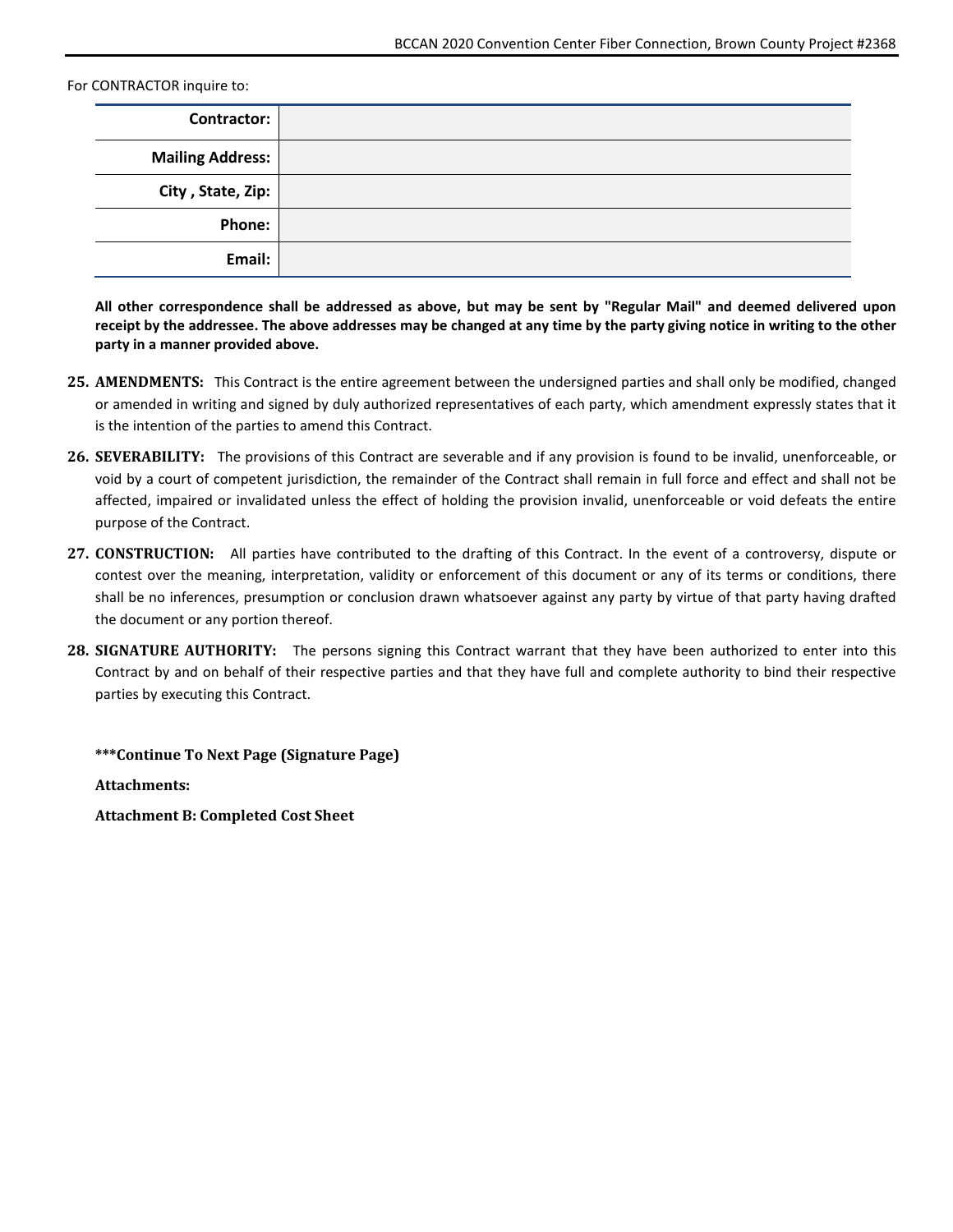For CONTRACTOR inquire to:

| <b>Contractor:</b>      |  |
|-------------------------|--|
| <b>Mailing Address:</b> |  |
| City, State, Zip:       |  |
| <b>Phone:</b>           |  |
| Email:                  |  |

**All other correspondence shall be addressed as above, but may be sent by "Regular Mail" and deemed delivered upon receipt by the addressee. The above addresses may be changed at any time by the party giving notice in writing to the other party in a manner provided above.**

- **25. AMENDMENTS:** This Contract is the entire agreement between the undersigned parties and shall only be modified, changed or amended in writing and signed by duly authorized representatives of each party, which amendment expressly states that it is the intention of the parties to amend this Contract.
- **26. SEVERABILITY:** The provisions of this Contract are severable and if any provision is found to be invalid, unenforceable, or void by a court of competent jurisdiction, the remainder of the Contract shall remain in full force and effect and shall not be affected, impaired or invalidated unless the effect of holding the provision invalid, unenforceable or void defeats the entire purpose of the Contract.
- **27. CONSTRUCTION:** All parties have contributed to the drafting of this Contract. In the event of a controversy, dispute or contest over the meaning, interpretation, validity or enforcement of this document or any of its terms or conditions, there shall be no inferences, presumption or conclusion drawn whatsoever against any party by virtue of that party having drafted the document or any portion thereof.
- **28. SIGNATURE AUTHORITY:** The persons signing this Contract warrant that they have been authorized to enter into this Contract by and on behalf of their respective parties and that they have full and complete authority to bind their respective parties by executing this Contract.

**\*\*\*Continue To Next Page (Signature Page)**

**Attachments:**

**Attachment B: Completed Cost Sheet**